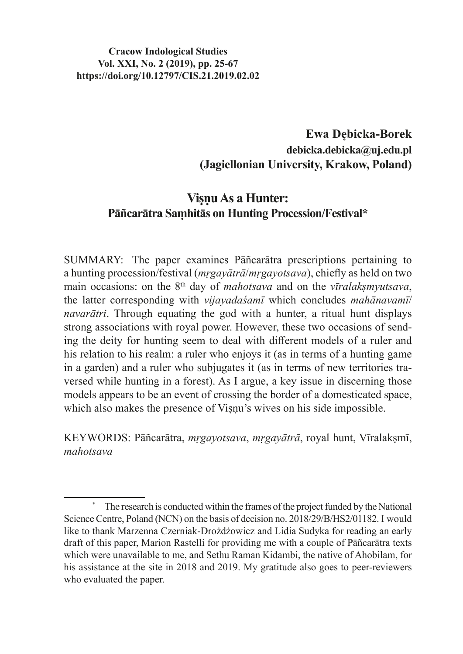## **Ewa Dębicka-Borek debicka.debicka@uj.edu.pl (Jagiellonian University, Krakow, Poland)**

# **Viṣṇu As a Hunter: Pāñcarātra Saṃhitās on Hunting Procession/Festival\***

SUMMARY: The paper examines Pāñcarātra prescriptions pertaining to a hunting procession/festival (*mṛgayātrā*/*mṛgayotsava*), chiefly as held on two main occasions: on the 8<sup>th</sup> day of *mahotsava* and on the *vīralaksmyutsava*, the latter corresponding with *vijayadaśamī* which concludes *mahānavamī*/ *navarātri*. Through equating the god with a hunter, a ritual hunt displays strong associations with royal power. However, these two occasions of sending the deity for hunting seem to deal with different models of a ruler and his relation to his realm: a ruler who enjoys it (as in terms of a hunting game in a garden) and a ruler who subjugates it (as in terms of new territories traversed while hunting in a forest). As I argue, a key issue in discerning those models appears to be an event of crossing the border of a domesticated space, which also makes the presence of Visnu's wives on his side impossible.

KEYWORDS: Pāñcarātra, *mṛgayotsava*, *mṛgayātrā*, royal hunt, Vīralakṣmī, *mahotsava*

The research is conducted within the frames of the project funded by the National Science Centre, Poland (NCN) on the basis of decision no. 2018/29/B/HS2/01182. I would like to thank Marzenna Czerniak-Drożdżowicz and Lidia Sudyka for reading an early draft of this paper, Marion Rastelli for providing me with a couple of Pāñcarātra texts which were unavailable to me, and Sethu Raman Kidambi, the native of Ahobilam, for his assistance at the site in 2018 and 2019. My gratitude also goes to peer-reviewers who evaluated the paper.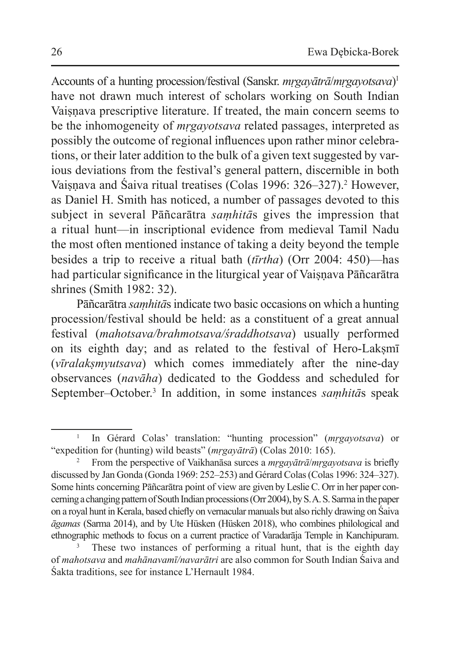Accounts of a hunting procession/festival (Sanskr. *mṛgayātrā*/*mṛgayotsava*) 1 have not drawn much interest of scholars working on South Indian Vaisnava prescriptive literature. If treated, the main concern seems to be the inhomogeneity of *mṛgayotsava* related passages, interpreted as possibly the outcome of regional influences upon rather minor celebrations, or their later addition to the bulk of a given text suggested by various deviations from the festival's general pattern, discernible in both Vaisnava and Saiva ritual treatises (Colas 1996: 326–327).<sup>2</sup> However, as Daniel H. Smith has noticed, a number of passages devoted to this subject in several Pāñcarātra *saṃhitā*s gives the impression that a ritual hunt—in inscriptional evidence from medieval Tamil Nadu the most often mentioned instance of taking a deity beyond the temple besides a trip to receive a ritual bath (*tīrtha*) (Orr 2004: 450)—has had particular significance in the liturgical year of Vaiṣṇava Pāñcarātra shrines (Smith 1982: 32).

Pāñcarātra *saṃhitā*s indicate two basic occasions on which a hunting procession/festival should be held: as a constituent of a great annual festival (*mahotsava/brahmotsava/śraddhotsava*) usually performed on its eighth day; and as related to the festival of Hero-Lakṣmī (*vīralakṣmyutsava*) which comes immediately after the nine-day observances (*navāha*) dedicated to the Goddess and scheduled for September–October.<sup>3</sup> In addition, in some instances *saṃhitā*s speak

<sup>1</sup> In Gérard Colas' translation: "hunting procession" (*mṛgayotsava*) or "expedition for (hunting) wild beasts" (*mṛgayātrā*) (Colas 2010: 165).

<sup>2</sup> From the perspective of Vaikhanāsa surces a *mṛgayātrā*/*mṛgayotsava* is briefly discussed by Jan Gonda (Gonda 1969: 252–253) and Gérard Colas (Colas 1996: 324–327). Some hints concerning Pāñcarātra point of view are given by Leslie C. Orr in her paper concerning a changing pattern of South Indian processions (Orr 2004), by S.A. S. Sarma in the paper on a royal hunt in Kerala, based chiefly on vernacular manuals but also richly drawing on Śaiva *āgamas* (Sarma 2014), and by Ute Hüsken (Hüsken 2018), who combines philological and ethnographic methods to focus on a current practice of Varadarāja Temple in Kanchipuram.

These two instances of performing a ritual hunt, that is the eighth day of *mahotsava* and *mahānavamī/navarātri* are also common for South Indian Śaiva and Śakta traditions, see for instance L'Hernault 1984.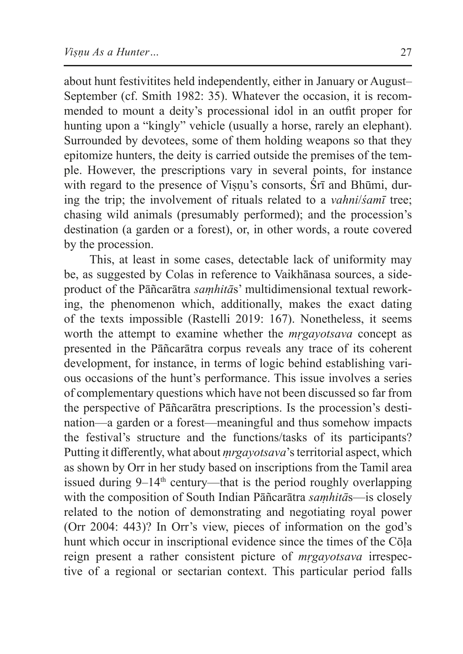about hunt festivitites held independently, either in January or August– September (cf. Smith 1982: 35). Whatever the occasion, it is recommended to mount a deity's processional idol in an outfit proper for hunting upon a "kingly" vehicle (usually a horse, rarely an elephant). Surrounded by devotees, some of them holding weapons so that they epitomize hunters, the deity is carried outside the premises of the temple. However, the prescriptions vary in several points, for instance with regard to the presence of Viṣṇu's consorts, Śrī and Bhūmi, during the trip; the involvement of rituals related to a *vahni*/*śamī* tree; chasing wild animals (presumably performed); and the procession's destination (a garden or a forest), or, in other words, a route covered by the procession.

This, at least in some cases, detectable lack of uniformity may be, as suggested by Colas in reference to Vaikhānasa sources, a sideproduct of the Pāñcarātra *saṃhitā*s' multidimensional textual reworking, the phenomenon which, additionally, makes the exact dating of the texts impossible (Rastelli 2019: 167). Nonetheless, it seems worth the attempt to examine whether the *mṛgayotsava* concept as presented in the Pāñcarātra corpus reveals any trace of its coherent development, for instance, in terms of logic behind establishing various occasions of the hunt's performance. This issue involves a series of complementary questions which have not been discussed so far from the perspective of Pāñcarātra prescriptions. Is the procession's destination—a garden or a forest—meaningful and thus somehow impacts the festival's structure and the functions/tasks of its participants? Putting it differently, what about *ṃrgayotsava*'s territorial aspect, which as shown by Orr in her study based on inscriptions from the Tamil area issued during  $9-14$ <sup>th</sup> century—that is the period roughly overlapping with the composition of South Indian Pāñcarātra *saṃhitā*s—is closely related to the notion of demonstrating and negotiating royal power (Orr 2004: 443)? In Orr's view, pieces of information on the god's hunt which occur in inscriptional evidence since the times of the Cōḷa reign present a rather consistent picture of *mṛgayotsava* irrespective of a regional or sectarian context. This particular period falls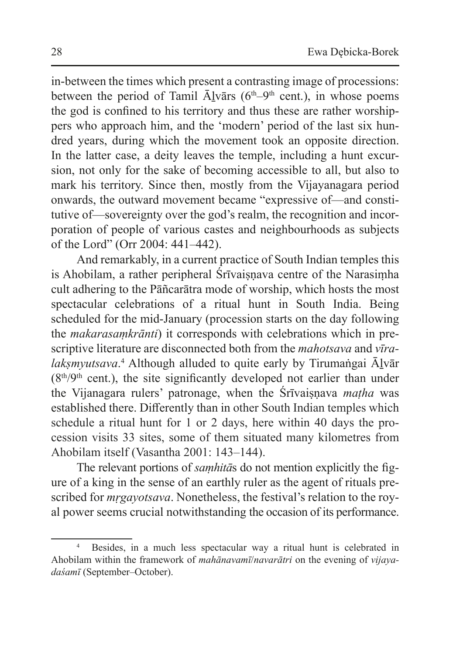in-between the times which present a contrasting image of processions: between the period of Tamil  $\bar{A}$ lvārs (6<sup>th</sup>–9<sup>th</sup> cent.), in whose poems the god is confined to his territory and thus these are rather worshippers who approach him, and the 'modern' period of the last six hundred years, during which the movement took an opposite direction. In the latter case, a deity leaves the temple, including a hunt excursion, not only for the sake of becoming accessible to all, but also to mark his territory. Since then, mostly from the Vijayanagara period onwards, the outward movement became "expressive of—and constitutive of—sovereignty over the god's realm, the recognition and incorporation of people of various castes and neighbourhoods as subjects of the Lord" (Orr 2004: 441–442).

And remarkably, in a current practice of South Indian temples this is Ahobilam, a rather peripheral Śrīvaiṣṇava centre of the Narasiṃha cult adhering to the Pāñcarātra mode of worship, which hosts the most spectacular celebrations of a ritual hunt in South India. Being scheduled for the mid-January (procession starts on the day following the *makarasaṃkrānti*) it corresponds with celebrations which in prescriptive literature are disconnected both from the *mahotsava* and *vīralakṣmyutsava*. 4 Although alluded to quite early by Tirumaṅgai Āḻvār  $(8<sup>th</sup>/9<sup>th</sup>$  cent.), the site significantly developed not earlier than under the Vijanagara rulers' patronage, when the Śrīvaisnava *matha* was established there. Differently than in other South Indian temples which schedule a ritual hunt for 1 or 2 days, here within 40 days the procession visits 33 sites, some of them situated many kilometres from Ahobilam itself (Vasantha 2001: 143–144).

The relevant portions of *saṃhitā*s do not mention explicitly the figure of a king in the sense of an earthly ruler as the agent of rituals prescribed for *mṛgayotsava*. Nonetheless, the festival's relation to the royal power seems crucial notwithstanding the occasion of its performance.

<sup>4</sup> Besides, in a much less spectacular way a ritual hunt is celebrated in Ahobilam within the framework of *mahānavamī*/*navarātri* on the evening of *vijayadaśamī* (September–October).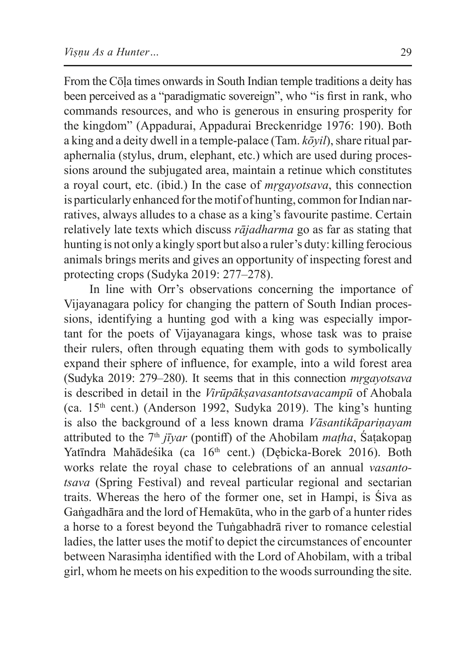From the Cōḷa times onwards in South Indian temple traditions a deity has been perceived as a "paradigmatic sovereign", who "is first in rank, who commands resources, and who is generous in ensuring prosperity for the kingdom" (Appadurai, Appadurai Breckenridge 1976: 190). Both a king and a deity dwell in a temple-palace (Tam. *kōyil*), share ritual paraphernalia (stylus, drum, elephant, etc.) which are used during processions around the subjugated area, maintain a retinue which constitutes a royal court, etc. (ibid.) In the case of *mṛgayotsava*, this connection is particularly enhanced for themotif of hunting, common for Indian narratives, always alludes to a chase as a king's favourite pastime. Certain relatively late texts which discuss *rājadharma* go as far as stating that hunting is not only a kingly sport but also a ruler's duty: killing ferocious animals brings merits and gives an opportunity of inspecting forest and protecting crops (Sudyka 2019: 277–278).

In line with Orr's observations concerning the importance of Vijayanagara policy for changing the pattern of South Indian processions, identifying a hunting god with a king was especially important for the poets of Vijayanagara kings, whose task was to praise their rulers, often through equating them with gods to symbolically expand their sphere of influence, for example, into a wild forest area (Sudyka 2019: 279–280). It seems that in this connection *mṛgayotsava*  is described in detail in the *Virūpākṣavasantotsavacampū* of Ahobala (ca.  $15<sup>th</sup>$  cent.) (Anderson 1992, Sudyka 2019). The king's hunting is also the background of a less known drama *Vāsantikāpariṇayam* attributed to the  $7<sup>th</sup> j\bar{i} \gamma a r$  (pontiff) of the Ahobilam *matha*, Saṭakopan Yatīndra Mahādeśika (ca 16<sup>th</sup> cent.) (Dębicka-Borek 2016). Both works relate the royal chase to celebrations of an annual *vasantotsava* (Spring Festival) and reveal particular regional and sectarian traits. Whereas the hero of the former one, set in Hampi, is Śiva as Gaṅgadhāra and the lord of Hemakūta, who in the garb of a hunter rides a horse to a forest beyond the Tuṅgabhadrā river to romance celestial ladies, the latter uses the motif to depict the circumstances of encounter between Narasiṃha identified with the Lord of Ahobilam, with a tribal girl, whom he meets on his expedition to the woods surrounding the site.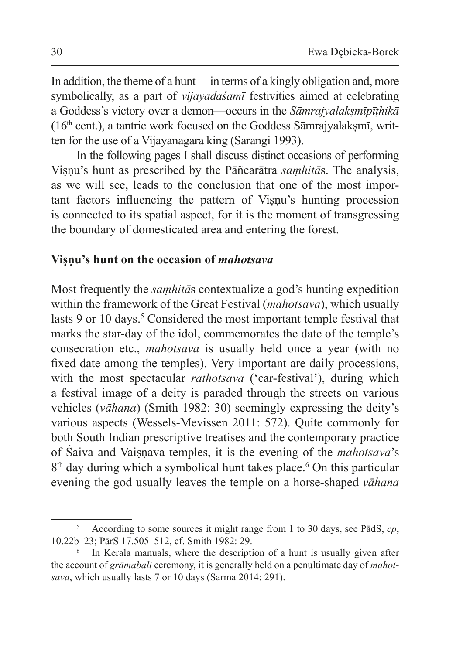In addition, the theme of a hunt— in terms of a kingly obligation and, more symbolically, as a part of *vijayadaśamī* festivities aimed at celebrating a Goddess's victory over a demon—occurs in the *Sāmrajyalakṣmīpīṭhikā*  $(16<sup>th</sup> cent.)$ , a tantric work focused on the Goddess Sāmrajyalakṣmī, written for the use of a Vijayanagara king (Sarangi 1993).

In the following pages I shall discuss distinct occasions of performing Viṣṇu's hunt as prescribed by the Pāñcarātra *saṃhitā*s. The analysis, as we will see, leads to the conclusion that one of the most important factors influencing the pattern of Viṣṇu's hunting procession is connected to its spatial aspect, for it is the moment of transgressing the boundary of domesticated area and entering the forest.

### **Viṣṇu's hunt on the occasion of** *mahotsava*

Most frequently the *saṃhitā*s contextualize a god's hunting expedition within the framework of the Great Festival (*mahotsava*), which usually lasts 9 or 10 days.<sup>5</sup> Considered the most important temple festival that marks the star-day of the idol, commemorates the date of the temple's consecration etc., *mahotsava* is usually held once a year (with no fixed date among the temples). Very important are daily processions, with the most spectacular *rathotsava* ('car-festival'), during which a festival image of a deity is paraded through the streets on various vehicles (*vāhana*) (Smith 1982: 30) seemingly expressing the deity's various aspects (Wessels-Mevissen 2011: 572). Quite commonly for both South Indian prescriptive treatises and the contemporary practice of Śaiva and Vaiṣṇava temples, it is the evening of the *mahotsava*'s 8<sup>th</sup> day during which a symbolical hunt takes place.<sup>6</sup> On this particular evening the god usually leaves the temple on a horse-shaped *vāhana*

<sup>5</sup> According to some sources it might range from 1 to 30 days, see PādS, *cp*, 10.22b–23; PārS 17.505–512, cf. Smith 1982: 29.

<sup>&</sup>lt;sup>6</sup> In Kerala manuals, where the description of a hunt is usually given after the account of *grāmabali* ceremony, it is generally held on a penultimate day of *mahotsava*, which usually lasts 7 or 10 days (Sarma 2014: 291).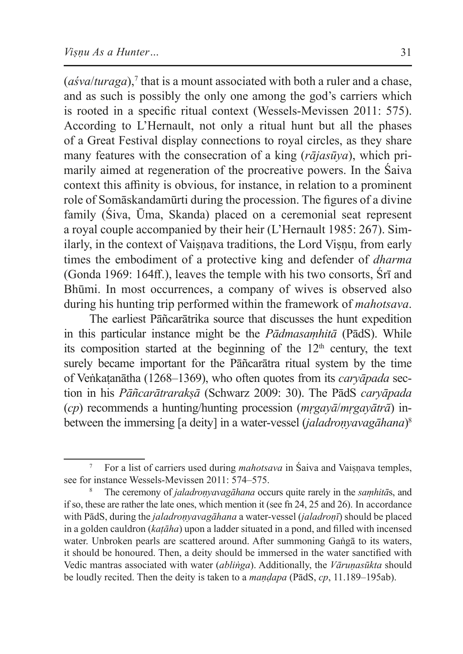$($ *asva* $/$ *turaga* $)$ ,<sup>7</sup> that is a mount associated with both a ruler and a chase, and as such is possibly the only one among the god's carriers which is rooted in a specific ritual context (Wessels-Mevissen 2011: 575). According to L'Hernault, not only a ritual hunt but all the phases of a Great Festival display connections to royal circles, as they share many features with the consecration of a king (*rājasūya*), which primarily aimed at regeneration of the procreative powers. In the Śaiva context this affinity is obvious, for instance, in relation to a prominent role of Somāskandamūrti during the procession. The figures of a divine family (Śiva, Ūma, Skanda) placed on a ceremonial seat represent a royal couple accompanied by their heir (L'Hernault 1985: 267). Similarly, in the context of Vaisnava traditions, the Lord Visnu, from early times the embodiment of a protective king and defender of *dharma* (Gonda 1969: 164ff.), leaves the temple with his two consorts, Śrī and Bhūmi. In most occurrences, a company of wives is observed also during his hunting trip performed within the framework of *mahotsava*.

The earliest Pāñcarātrika source that discusses the hunt expedition in this particular instance might be the *Pādmasaṃhitā* (PādS). While its composition started at the beginning of the  $12<sup>th</sup>$  century, the text surely became important for the Pāñcarātra ritual system by the time of Veṅkaṭanātha (1268–1369), who often quotes from its *caryāpada* section in his *Pāñcarātrarakṣā* (Schwarz 2009: 30). The PādS *caryāpada* (*cp*) recommends a hunting/hunting procession (*mṛgayā*/*mṛgayātrā*) inbetween the immersing [a deity] in a water-vessel (*jaladroṇyavagāhana*) 8

For a list of carriers used during *mahotsava* in Śaiva and Vaisnava temples, see for instance Wessels-Mevissen 2011: 574–575.

<sup>8</sup> The ceremony of *jaladroṇyavagāhana* occurs quite rarely in the *saṃhitā*s, and if so, these are rather the late ones, which mention it (see fn 24, 25 and 26). In accordance with PādS, during the *jaladroṇyavagāhana* a water-vessel (*jaladroṇī*) should be placed in a golden cauldron (*kaṭāha*) upon a ladder situated in a pond, and filled with incensed water. Unbroken pearls are scattered around. After summoning Gaṅgā to its waters, it should be honoured. Then, a deity should be immersed in the water sanctified with Vedic mantras associated with water (*abliṅga*). Additionally, the *Vāruṇasūkta* should be loudly recited. Then the deity is taken to a *maṇḍapa* (PādS, *cp*, 11.189–195ab).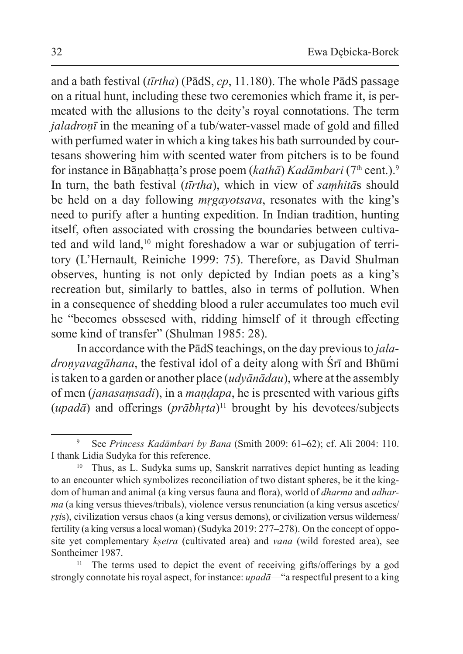and a bath festival (*tīrtha*) (PādS, *cp*, 11.180). The whole PādS passage on a ritual hunt, including these two ceremonies which frame it, is permeated with the allusions to the deity's royal connotations. The term *jaladroṇī* in the meaning of a tub/water-vassel made of gold and filled with perfumed water in which a king takes his bath surrounded by courtesans showering him with scented water from pitchers is to be found for instance in Bāṇabhaṭṭa's prose poem (*kathā*) *Kadāmbari* (7th cent.).<sup>9</sup> In turn, the bath festival (*tīrtha*), which in view of *saṃhitā*s should be held on a day following *mṛgayotsava*, resonates with the king's need to purify after a hunting expedition. In Indian tradition, hunting itself, often associated with crossing the boundaries between cultivated and wild land,<sup>10</sup> might foreshadow a war or subjugation of territory (L'Hernault, Reiniche 1999: 75). Therefore, as David Shulman observes, hunting is not only depicted by Indian poets as a king's recreation but, similarly to battles, also in terms of pollution. When in a consequence of shedding blood a ruler accumulates too much evil he "becomes obssesed with, ridding himself of it through effecting some kind of transfer" (Shulman 1985: 28).

In accordance with the PādS teachings, on the day previous to *jaladroṇyavagāhana*, the festival idol of a deity along with Śrī and Bhūmi istaken to a garden or another place (*udyānādau*), where at the assembly of men (*janasaṃsadi*), in a *maṇḍapa*, he is presented with various gifts (*upadā*) and offerings (*prābhṛta*)<sup>11</sup> brought by his devotees/subjects

<sup>9</sup> See *Princess Kadāmbari by Bana* (Smith 2009: 61–62); cf. Ali 2004: 110. I thank Lidia Sudyka for this reference.

<sup>10</sup> Thus, as L. Sudyka sums up, Sanskrit narratives depict hunting as leading to an encounter which symbolizes reconciliation of two distant spheres, be it the kingdom of human and animal (a king versus fauna and flora), world of *dharma* and *adharma* (a king versus thieves/tribals), violence versus renunciation (a king versus ascetics/ *rsis*), civilization versus chaos (a king versus demons), or civilization versus wilderness/ fertility (a king versus a local woman) (Sudyka 2019: 277–278). On the concept of opposite yet complementary *kṣetra* (cultivated area) and *vana* (wild forested area), see Sontheimer 1987.

<sup>&</sup>lt;sup>11</sup> The terms used to depict the event of receiving gifts/offerings by a god strongly connotate his royal aspect, for instance: *upadā*—"a respectful present to a king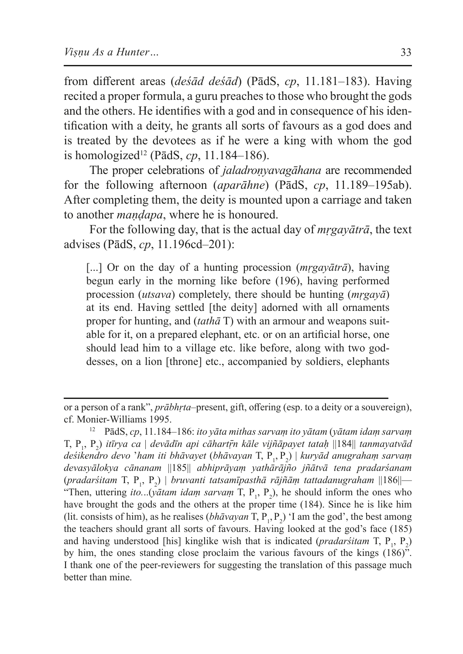from different areas (*deśād deśād*) (PādS, *cp*, 11.181–183). Having recited a proper formula, a guru preaches to those who brought the gods and the others. He identifies with a god and in consequence of his identification with a deity, he grants all sorts of favours as a god does and is treated by the devotees as if he were a king with whom the god is homologized<sup>12</sup> (PādS, *cp*, 11.184–186).

The proper celebrations of *jaladronyavagāhana* are recommended for the following afternoon (*aparāhne*) (PādS, *cp*, 11.189–195ab). After completing them, the deity is mounted upon a carriage and taken to another *maṇḍapa*, where he is honoured.

For the following day, that is the actual day of *mṛgayātrā*, the text advises (PādS, *cp*, 11.196cd–201):

[...] Or on the day of a hunting procession (*mrgayātrā*), having begun early in the morning like before (196), having performed procession (*utsava*) completely, there should be hunting (*mṛgayā*) at its end. Having settled [the deity] adorned with all ornaments proper for hunting, and (*tathā* T) with an armour and weapons suitable for it, on a prepared elephant, etc. or on an artificial horse, one should lead him to a village etc. like before, along with two goddesses, on a lion [throne] etc., accompanied by soldiers, elephants

or a person of a rank", *prābhṛta*–present, gift, offering (esp. to a deity or a souvereign), cf. Monier-Williams 1995.

<sup>12</sup> PādS, *cp*, 11.184–186: *ito yāta mithas sarvaṃ ito yātam* (*yātam idaṃ sarvaṃ* T, P<sup>1</sup> , P<sup>2</sup> ) *itīrya ca* | *devādīn api cāhartṝn kāle vijñāpayet tataḥ* ||184|| *tanmayatvād deśikendro devo* '*ham iti bhāvayet* (*bhāvayan* T, P<sup>1</sup> , P2 ) | *kuryād anugrahaṃ sarvaṃ devasyālokya cānanam* ||185|| *abhiprāyaṃ yathārājño jñātvā tena pradarśanam*  (*pradarśitam* T, P<sup>1</sup> , P<sup>2</sup> ) | *bruvanti tatsamīpasthā rājñāṃ tattadanugraham* ||186||— "Then, uttering *ito...*(*yātam idam sarvam* T, P<sub>1</sub>, P<sub>2</sub>), he should inform the ones who have brought the gods and the others at the proper time (184). Since he is like him (lit. consists of him), as he realises ( $bh\bar{a}vayan$  T,  $P_1$ ,  $P_2$ ) 'I am the god', the best among the teachers should grant all sorts of favours. Having looked at the god's face (185) and having understood [his] kinglike wish that is indicated (*pradarśitam* T, P<sub>1</sub>, P<sub>2</sub>) by him, the ones standing close proclaim the various favours of the kings (186)". I thank one of the peer-reviewers for suggesting the translation of this passage much better than mine.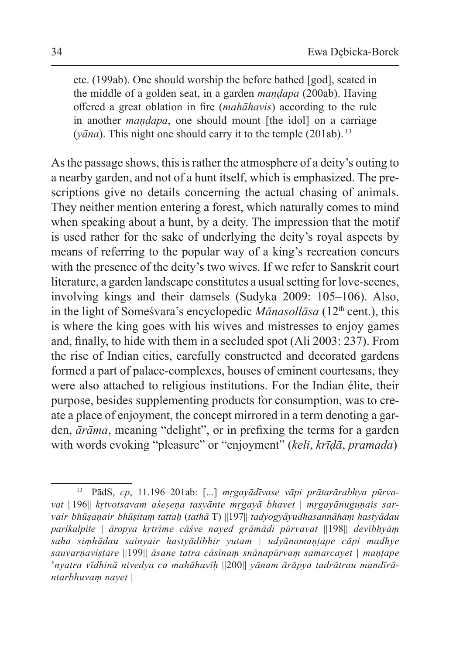etc. (199ab). One should worship the before bathed [god], seated in the middle of a golden seat, in a garden *maṇḍapa* (200ab). Having offered a great oblation in fire (*mahāhavis*) according to the rule in another *maṇḍapa*, one should mount [the idol] on a carriage ( $vāna$ ). This night one should carry it to the temple (201ab).<sup>13</sup>

As the passage shows, this is rather the atmosphere of a deity's outing to a nearby garden, and not of a hunt itself, which is emphasized. The prescriptions give no details concerning the actual chasing of animals. They neither mention entering a forest, which naturally comes to mind when speaking about a hunt, by a deity. The impression that the motif is used rather for the sake of underlying the deity's royal aspects by means of referring to the popular way of a king's recreation concurs with the presence of the deity's two wives. If we refer to Sanskrit court literature, a garden landscape constitutes a usual setting for love-scenes, involving kings and their damsels (Sudyka 2009: 105–106). Also, in the light of Somesvara's encyclopedic *Mānasollāsa* (12<sup>th</sup> cent.), this is where the king goes with his wives and mistresses to enjoy games and, finally, to hide with them in a secluded spot (Ali 2003: 237). From the rise of Indian cities, carefully constructed and decorated gardens formed a part of palace-complexes, houses of eminent courtesans, they were also attached to religious institutions. For the Indian élite, their purpose, besides supplementing products for consumption, was to create a place of enjoyment, the concept mirrored in a term denoting a garden, *ārāma*, meaning "delight", or in prefixing the terms for a garden with words evoking "pleasure" or "enjoyment" (*keli*, *krīḍā*, *pramada*)

<sup>13</sup> PādS, *cp*, 11.196–201ab: [...] *mṛgayādīvase vāpi prātarārabhya pūrvavat* ||196|| *kṛtvotsavam aśeṣeṇa tasyānte mṛgayā bhavet* | *mṛgayānuguṇais sarvair bhūṣaṇair bhūṣitaṃ tattaḥ* (*tathā* T) ||197|| *tadyogyāyudhasannāhaṃ hastyādau parikalpite | āropya kṛtrīme cāśve nayed grāmādi pūrvavat* ||198|| *devībhyāṃ saha siṃhādau sainyair hastyādibhir yutam | udyānamaṇṭape cāpi madhye sauvarṇaviṣṭare* ||199|| *āsane tatra cāsīnaṃ snānapūrvaṃ samarcayet | maṇṭape*  '*nyatra vīdhinā nivedya ca mahāhavīḥ* ||200|| *yānam ārāpya tadrātrau mandīrāntarbhuvaṃ nayet |*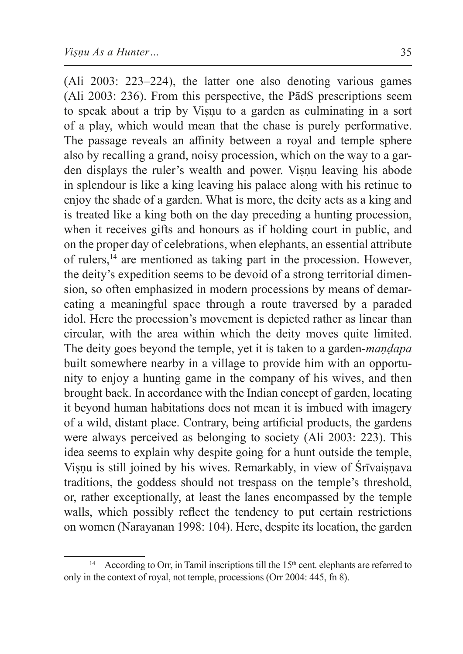(Ali 2003: 223–224), the latter one also denoting various games (Ali 2003: 236). From this perspective, the PādS prescriptions seem to speak about a trip by Viṣṇu to a garden as culminating in a sort of a play, which would mean that the chase is purely performative. The passage reveals an affinity between a royal and temple sphere also by recalling a grand, noisy procession, which on the way to a garden displays the ruler's wealth and power. Visnu leaving his abode in splendour is like a king leaving his palace along with his retinue to enjoy the shade of a garden. What is more, the deity acts as a king and is treated like a king both on the day preceding a hunting procession, when it receives gifts and honours as if holding court in public, and on the proper day of celebrations, when elephants, an essential attribute of rulers,14 are mentioned as taking part in the procession. However, the deity's expedition seems to be devoid of a strong territorial dimension, so often emphasized in modern processions by means of demarcating a meaningful space through a route traversed by a paraded idol. Here the procession's movement is depicted rather as linear than circular, with the area within which the deity moves quite limited. The deity goes beyond the temple, yet it is taken to a garden-*maṇḍapa* built somewhere nearby in a village to provide him with an opportunity to enjoy a hunting game in the company of his wives, and then brought back. In accordance with the Indian concept of garden, locating it beyond human habitations does not mean it is imbued with imagery of a wild, distant place. Contrary, being artificial products, the gardens were always perceived as belonging to society (Ali 2003: 223). This idea seems to explain why despite going for a hunt outside the temple, Visnu is still joined by his wives. Remarkably, in view of Śrīvaisnava traditions, the goddess should not trespass on the temple's threshold, or, rather exceptionally, at least the lanes encompassed by the temple walls, which possibly reflect the tendency to put certain restrictions on women (Narayanan 1998: 104). Here, despite its location, the garden

<sup>&</sup>lt;sup>14</sup> According to Orr, in Tamil inscriptions till the  $15<sup>th</sup>$  cent. elephants are referred to only in the context of royal, not temple, processions (Orr 2004: 445, fn 8).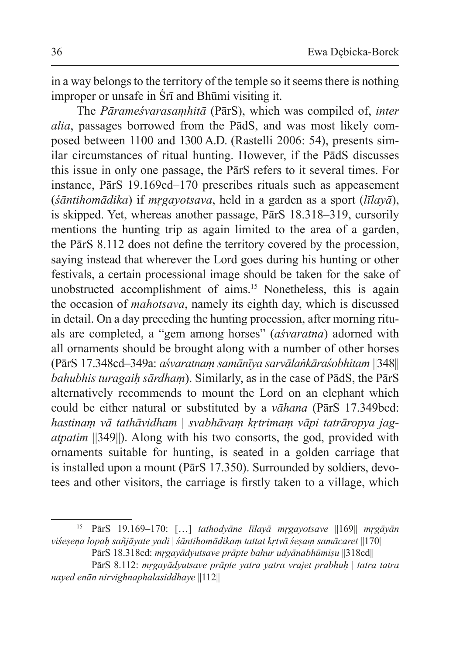in a way belongs to the territory of the temple so it seems there is nothing improper or unsafe in Śrī and Bhūmi visiting it.

The *Pārameśvarasaṃhitā* (PārS), which was compiled of, *inter alia*, passages borrowed from the PādS, and was most likely composed between 1100 and 1300 A.D. (Rastelli 2006: 54), presents similar circumstances of ritual hunting. However, if the PādS discusses this issue in only one passage, the PārS refers to it several times. For instance, PārS 19.169cd–170 prescribes rituals such as appeasement (*śāntihomādika*) if *mṛgayotsava*, held in a garden as a sport (*līlayā*), is skipped. Yet, whereas another passage, PārS 18.318–319, cursorily mentions the hunting trip as again limited to the area of a garden, the PārS 8.112 does not define the territory covered by the procession, saying instead that wherever the Lord goes during his hunting or other festivals, a certain processional image should be taken for the sake of unobstructed accomplishment of aims.<sup>15</sup> Nonetheless, this is again the occasion of *mahotsava*, namely its eighth day, which is discussed in detail. On a day preceding the hunting procession, after morning rituals are completed, a "gem among horses" (*aśvaratna*) adorned with all ornaments should be brought along with a number of other horses (PārS 17.348cd–349a: *aśvaratnaṃ samānīya sarvālaṅkāraśobhitam* ||348|| *bahubhis turagaiḥ sārdhaṃ*). Similarly, as in the case of PādS, the PārS alternatively recommends to mount the Lord on an elephant which could be either natural or substituted by a *vāhana* (PārS 17.349bcd: *hastinaṃ vā tathāvidham* | *svabhāvaṃ kṛtrimaṃ vāpi tatrāropya jagatpatim* ||349||). Along with his two consorts, the god, provided with ornaments suitable for hunting, is seated in a golden carriage that is installed upon a mount (PārS 17.350). Surrounded by soldiers, devotees and other visitors, the carriage is firstly taken to a village, which

<sup>15</sup> PārS 19.169–170: […] *tathodyāne līlayā mṛgayotsave* ||169|| *mṛgāyān viśeṣeṇa lopaḥ sañjāyate yadi* | *śāntihomādikaṃ tattat kṛtvā śeṣaṃ samācaret* ||170||

PārS 18.318cd: *mṛgayādyutsave prāpte bahur udyānabhūmiṣu* ||318cd||

PārS 8.112: *mṛgayādyutsave prāpte yatra yatra vrajet prabhuḥ* | *tatra tatra nayed enān nirvighnaphalasiddhaye* ||112||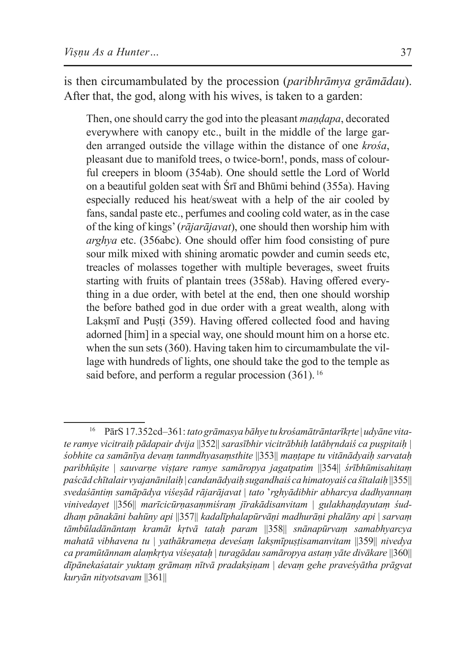is then circumambulated by the procession (*paribhrāmya grāmādau*). After that, the god, along with his wives, is taken to a garden:

Then, one should carry the god into the pleasant *maṇḍapa*, decorated everywhere with canopy etc., built in the middle of the large garden arranged outside the village within the distance of one *krośa*, pleasant due to manifold trees, o twice-born!, ponds, mass of colourful creepers in bloom (354ab). One should settle the Lord of World on a beautiful golden seat with Śrī and Bhūmi behind (355a). Having especially reduced his heat/sweat with a help of the air cooled by fans, sandal paste etc., perfumes and cooling cold water, as in the case of the king of kings' (*rājarājavat*), one should then worship him with *arghya* etc. (356abc). One should offer him food consisting of pure sour milk mixed with shining aromatic powder and cumin seeds etc, treacles of molasses together with multiple beverages, sweet fruits starting with fruits of plantain trees (358ab). Having offered everything in a due order, with betel at the end, then one should worship the before bathed god in due order with a great wealth, along with Laksmī and Pusti (359). Having offered collected food and having adorned [him] in a special way, one should mount him on a horse etc. when the sun sets (360). Having taken him to circumambulate the village with hundreds of lights, one should take the god to the temple as said before, and perform a regular procession  $(361)$ .<sup>16</sup>

<sup>16</sup> PārS 17.352cd–361: *tato grāmasya bāhye tu krośamātrāntarīkṛte* | *udyāne vitate ramye vicitraiḥ pādapair dvija* ||352|| *sarasībhir vicitrābhiḥ latābṛndaiś ca puṣpitaiḥ | śobhite ca samānīya devaṃ tanmdhyasaṃsthite* ||353|| *maṇṭape tu vitānādyaiḥ sarvataḥ paribhūṣite* | *sauvarṇe viṣṭare ramye samāropya jagatpatim* ||354|| *śrībhūmisahitaṃ paścād chītalair vyajanānilaiḥ* | *candanādyaiḥ sugandhaiś ca himatoyaiś ca śītalaiḥ* ||355|| *svedaśāntiṃ samāpādya viśeṣād rājarājavat* | *tato* '*rghyādibhir abharcya dadhyannaṃ vinivedayet* ||356|| *marīcicūrṇasaṃmiśraṃ jīrakādisanvitam* | *gulakhaṇḍayutaṃ śuddhaṃ pānakāni bahūny api* ||357|| *kadalīphalapūrvāṇi madhurāṇi phalāny api* | *sarvaṃ tāmbūladānāntaṃ kramāt kṛtvā tataḥ param* ||358|| *snānapūrvaṃ samabhyarcya mahatā vibhavena tu* | *yathākrameṇa deveśaṃ lakṣmīpuṣṭisamanvitam* ||359|| *nivedya ca pramūtānnam alaṃkṛtya viśeṣataḥ* | *turagādau samāropya astaṃ yāte divākare* ||360|| *dīpānekaśatair yuktaṃ grāmaṃ nītvā pradakṣiṇam* | *devaṃ gehe praveśyātha prāgvat kuryān nityotsavam* ||361||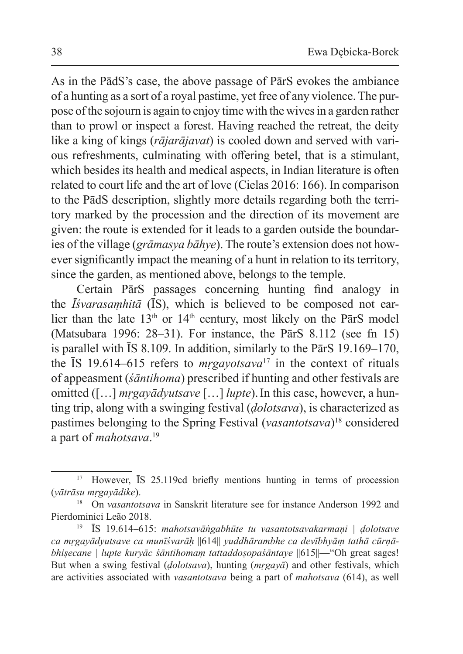As in the PādS's case, the above passage of PārS evokes the ambiance of a hunting as a sort of a royal pastime, yet free of any violence. The purpose ofthe sojourn is again to enjoy time with the wives in a garden rather than to prowl or inspect a forest. Having reached the retreat, the deity like a king of kings (*rājarājavat*) is cooled down and served with various refreshments, culminating with offering betel, that is a stimulant, which besides its health and medical aspects, in Indian literature is often related to court life and the art of love (Cielas 2016: 166). In comparison to the PādS description, slightly more details regarding both the territory marked by the procession and the direction of its movement are given: the route is extended for it leads to a garden outside the boundaries of the village (*grāmasya bāhye*). The route's extension does not however significantly impact the meaning of a hunt in relation to its territory, since the garden, as mentioned above, belongs to the temple.

Certain PārS passages concerning hunting find analogy in the *Īśvarasaṃhitā* (ĪS), which is believed to be composed not earlier than the late  $13<sup>th</sup>$  or  $14<sup>th</sup>$  century, most likely on the ParS model (Matsubara 1996: 28–31). For instance, the PārS 8.112 (see fn 15) is parallel with ĪS 8.109. In addition, similarly to the PārS 19.169–170, the ĪS 19.614–615 refers to *mṛgayotsava*17 in the context of rituals of appeasment (*śāntihoma*) prescribed if hunting and other festivals are omitted ([…] *mṛgayādyutsave* […] *lupte*).In this case, however, a hunting trip, along with a swinging festival (*ḍolotsava*), is characterized as pastimes belonging to the Spring Festival (*vasantotsava*)18 considered a part of *mahotsava*. 19

<sup>&</sup>lt;sup>17</sup> However, IS 25.119cd briefly mentions hunting in terms of procession (*yātrāsu mṛgayādike*).

<sup>18</sup> On *vasantotsava* in Sanskrit literature see for instance Anderson 1992 and Pierdominici Leão 2018.

<sup>19</sup> ĪS 19.614–615: *mahotsavāṅgabhūte tu vasantotsavakarmaṇi | ḍolotsave ca mṛgayādyutsave ca munīśvarāḥ* ||614|| *yuddhārambhe ca devībhyāṃ tathā cūrṇābhisecane | lupte kuryāc śāntihomam tattaddosopaśāntaye ||615||—*"Oh great sages! But when a swing festival (*ḍolotsava*), hunting (*mṛgayā*) and other festivals, which are activities associated with *vasantotsava* being a part of *mahotsava* (614), as well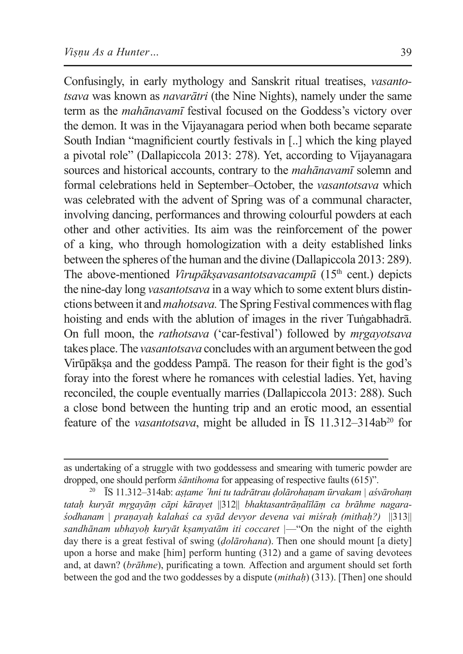Confusingly, in early mythology and Sanskrit ritual treatises, *vasantotsava* was known as *navarātri* (the Nine Nights), namely under the same term as the *mahānavamī* festival focused on the Goddess's victory over the demon. It was in the Vijayanagara period when both became separate South Indian "magnificient courtly festivals in [..] which the king played a pivotal role" (Dallapiccola 2013: 278). Yet, according to Vijayanagara sources and historical accounts, contrary to the *mahānavamī* solemn and formal celebrations held in September–October, the *vasantotsava* which was celebrated with the advent of Spring was of a communal character, involving dancing, performances and throwing colourful powders at each other and other activities. Its aim was the reinforcement of the power of a king, who through homologization with a deity established links between the spheres of the human and the divine (Dallapiccola 2013: 289). The above-mentioned *Virupākṣavasantotsavacampū* (15<sup>th</sup> cent.) depicts the nine-day long *vasantotsava* in a way which to some extent blurs distinctions between it and *mahotsava.* The Spring Festival commences with flag hoisting and ends with the ablution of images in the river Tuṅgabhadrā. On full moon, the *rathotsava* ('car-festival') followed by *mṛgayotsava*  takes place. The *vasantotsava* concludes with an argument between the god Virūpākṣa and the goddess Pampā. The reason for their fight is the god's foray into the forest where he romances with celestial ladies. Yet, having reconciled, the couple eventually marries (Dallapiccola 2013: 288). Such a close bond between the hunting trip and an erotic mood, an essential feature of the *vasantotsava*, might be alluded in ĪS 11.312–314ab<sup>20</sup> for

as undertaking of a struggle with two goddessess and smearing with tumeric powder are dropped, one should perform *śāntihoma* for appeasing of respective faults (615)".

<sup>20</sup> ĪS 11.312–314ab: *aṣṭame ´hni tu tadrātrau ḍolārohaṇam ūrvakam | aśvārohaṃ tataḥ kuryāt mṛgayāṃ cāpi kārayet* ||312|| *bhaktasantrāṇalīlāṃ ca brāhme nagaraśodhanam | praṇayaḥ kalahaś ca syād devyor devena vai miśraḥ (mithaḥ?)* ||313|| *sandhānam ubhayoḥ kuryāt kṣamyatām iti coccaret |*—"On the night of the eighth day there is a great festival of swing (*ḍolārohana*). Then one should mount [a diety] upon a horse and make [him] perform hunting (312) and a game of saving devotees and, at dawn? (*brāhme*), purificating a town*.* Affection and argument should set forth between the god and the two goddesses by a dispute (*mithaḥ*) (313). [Then] one should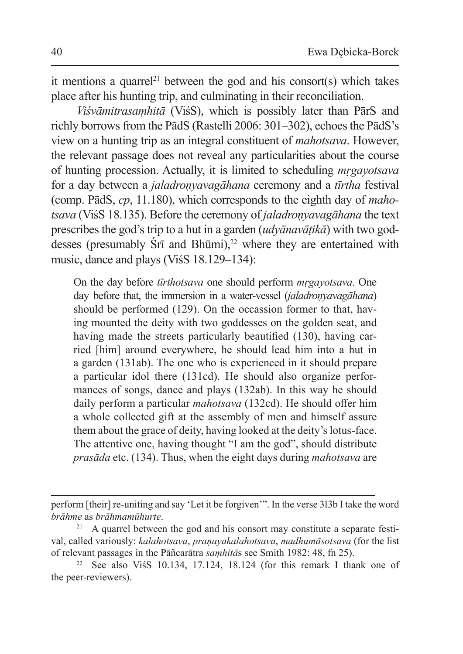it mentions a quarrel<sup>21</sup> between the god and his consort(s) which takes place after his hunting trip, and culminating in their reconciliation.

*Viśvāmitrasaṃhitā* (ViśS), which is possibly later than PārS and richly borrows from the PādS (Rastelli 2006: 301–302), echoes the PādS's view on a hunting trip as an integral constituent of *mahotsava*. However, the relevant passage does not reveal any particularities about the course of hunting procession. Actually, it is limited to scheduling *mṛgayotsava* for a day between a *jaladroṇyavagāhana* ceremony and a *tīrtha* festival (comp. PādS, *cp*, 11.180), which corresponds to the eighth day of *mahotsava* (ViśS 18.135). Before the ceremony of *jaladroṇyavagāhana* the text prescribes the god's trip to a hut in a garden (*udyānavāṭikā*) with two goddesses (presumably  $\text{Sr}$ <sub>1</sub> and Bhūmi),<sup>22</sup> where they are entertained with music, dance and plays (ViśS 18.129–134):

On the day before *tīrthotsava* one should perform *mṛgayotsava*. One day before that, the immersion in a water-vessel (*jaladronyavagāhana*) should be performed (129). On the occassion former to that, having mounted the deity with two goddesses on the golden seat, and having made the streets particularly beautified (130), having carried [him] around everywhere, he should lead him into a hut in a garden (131ab). The one who is experienced in it should prepare a particular idol there (131cd). He should also organize performances of songs, dance and plays (132ab). In this way he should daily perform a particular *mahotsava* (132cd). He should offer him a whole collected gift at the assembly of men and himself assure them about the grace of deity, having looked at the deity's lotus-face. The attentive one, having thought "I am the god", should distribute *prasāda* etc. (134). Thus, when the eight days during *mahotsava* are

perform [their] re-uniting and say 'Let it be forgiven'". In the verse 313b I take the word *brāhme* as *brāhmamūhurte*.

<sup>21</sup> A quarrel between the god and his consort may constitute a separate festival, called variously: *kalahotsava*, *praṇayakalahotsava*, *madhumāsotsava* (for the list of relevant passages in the Pāñcarātra *saṃhitā*s see Smith 1982: 48, fn 25).

<sup>&</sup>lt;sup>22</sup> See also ViśS 10.134, 17.124, 18.124 (for this remark I thank one of the peer-reviewers).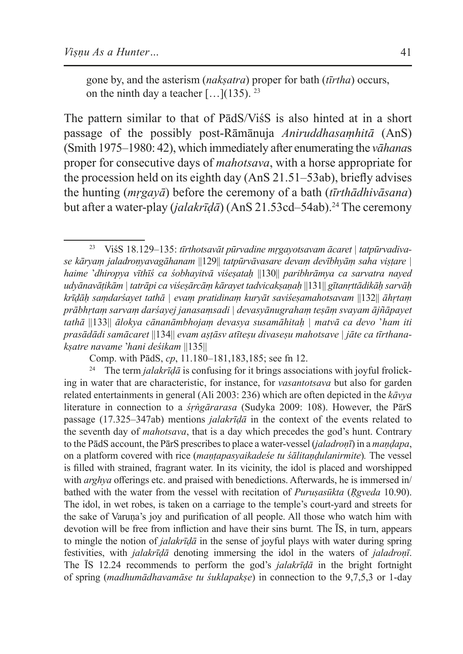gone by, and the asterism (*nakṣatra*) proper for bath (*tīrtha*) occurs, on the ninth day a teacher  $[...]$ (135). <sup>23</sup>

The pattern similar to that of PādS/ViśS is also hinted at in a short passage of the possibly post-Rāmānuja *Aniruddhasaṃhitā* (AnS) (Smith 1975–1980: 42), which immediately after enumerating the *vāhana*s proper for consecutive days of *mahotsava*, with a horse appropriate for the procession held on its eighth day (AnS 21.51–53ab), briefly advises the hunting (*mṛgayā*) before the ceremony of a bath (*tīrthādhivāsana*) but after a water-play (*jalakrīdā*) (AnS 21.53cd–54ab).<sup>24</sup> The ceremony

Comp. with PādS, *cp*, 11.180–181,183,185; see fn 12.<br><sup>24</sup> The term *jalakrīdā* is confusing for it brings associations with joyful frolicking in water that are characteristic, for instance, for *vasantotsava* but also for garden related entertainments in general (Ali 2003: 236) which are often depicted in the *kāvya* literature in connection to a *śṛṅgārarasa* (Sudyka 2009: 108). However, the PārS passage (17.325–347ab) mentions *jalakrīḍā* in the context of the events related to the seventh day of *mahotsava*, that is a day which precedes the god's hunt. Contrary to the PādS account, the PārS prescribes to place a water-vessel (*jaladroṇī*) in a *maṇḍapa*, on a platform covered with rice (*maṇṭapasyaikadeśe tu śālitaṇḍulanirmite*)*.* The vessel is filled with strained, fragrant water. In its vicinity, the idol is placed and worshipped with *arghya* offerings etc. and praised with benedictions. Afterwards, he is immersed in/ bathed with the water from the vessel with recitation of *Puruṣasūkta* (*Ṛgveda* 10.90). The idol, in wet robes, is taken on a carriage to the temple's court-yard and streets for the sake of Varuṇa's joy and purification of all people. All those who watch him with devotion will be free from infliction and have their sins burnt*.* The ĪS, in turn, appears to mingle the notion of *jalakrīḍā* in the sense of joyful plays with water during spring festivities, with *jalakrīḍā* denoting immersing the idol in the waters of *jaladroṇī*. The ĪS 12.24 recommends to perform the god's *jalakrīḍā* in the bright fortnight of spring (*madhumādhavamāse tu śuklapakṣe*) in connection to the 9,7,5,3 or 1-day

<sup>23</sup> ViśS 18.129–135: *tīrthotsavāt pūrvadine mṛgayotsavam ācaret | tatpūrvadivase kāryaṃ jaladroṇyavagāhanam* ||129|| *tatpūrvāvasare devaṃ devībhyāṃ saha viṣṭare | haime* '*dhiropya vīthīś ca śobhayitvā viśeṣataḥ* ||130|| *paribhrāmya ca sarvatra nayed udyānavāṭikām | tatrāpi ca viśeṣārcāṃ kārayet tadvicakṣaṇaḥ* ||131|| *gītanṛttādikāḥ sarvāḥ krīḍāḥ saṃdarśayet tathā | evaṃ pratidinaṃ kuryāt saviśeṣamahotsavam* ||132|| *āhṛtaṃ prābhṛtaṃ sarvaṃ darśayej janasaṃsadi | devasyānugrahaṃ teṣāṃ svayam ājñāpayet tathā* ||133|| *ālokya cānanāmbhojaṃ devasya susamāhitaḥ | matvā ca devo* '*ham iti prasādādi samācaret* ||134|| *evam aṣṭāsv atīteṣu divaseṣu mahotsave | jāte ca tīrthanakṣatre navame* '*hani deśikam* ||135||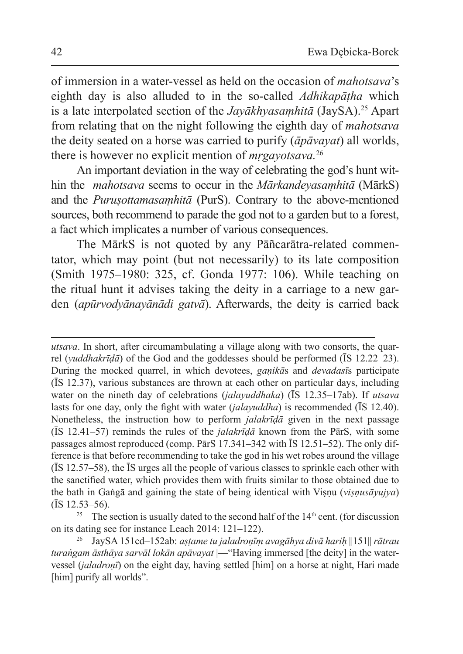of immersion in a water-vessel as held on the occasion of *mahotsava*'s eighth day is also alluded to in the so-called *Adhikapāṭha* which is a late interpolated section of the *Jayākhyasaṃhitā* (JaySA).<sup>25</sup> Apart from relating that on the night following the eighth day of *mahotsava* the deity seated on a horse was carried to purify (*āpāvayat*) all worlds, there is however no explicit mention of *mṛgayotsava.*<sup>26</sup>

An important deviation in the way of celebrating the god's hunt within the *mahotsava* seems to occur in the *Mārkandeyasaṃhitā* (MārkS) and the *Puruṣottamasaṃhitā* (PurS). Contrary to the above-mentioned sources, both recommend to parade the god not to a garden but to a forest, a fact which implicates a number of various consequences.

The MārkS is not quoted by any Pāñcarātra-related commentator, which may point (but not necessarily) to its late composition (Smith 1975–1980: 325, cf. Gonda 1977: 106). While teaching on the ritual hunt it advises taking the deity in a carriage to a new garden (*apūrvodyānayānādi gatvā*). Afterwards, the deity is carried back

*utsava*. In short, after circumambulating a village along with two consorts, the quarrel (*yuddhakrīḍā*) of the God and the goddesses should be performed (ĪS 12.22–23). During the mocked quarrel, in which devotees, *gaṇikā*s and *devadasī*s participate (ĪS 12.37), various substances are thrown at each other on particular days, including water on the nineth day of celebrations (*jalayuddhaka*) (ĪS 12.35–17ab). If *utsava* lasts for one day, only the fight with water (*jalayuddha*) is recommended (ĪS 12.40). Nonetheless, the instruction how to perform *jalakrīḍā* given in the next passage (ĪS 12.41–57) reminds the rules of the *jalakrīḍā* known from the PārS, with some passages almost reproduced (comp. PārS 17.341–342 with ĪS 12.51–52). The only difference is that before recommending to take the god in his wet robes around the village (ĪS 12.57–58), the ĪS urges all the people of various classes to sprinkle each other with the sanctified water, which provides them with fruits similar to those obtained due to the bath in Gaṅgā and gaining the state of being identical with Viṣṇu (*viṣṇusāyujya*) (ĪS 12.53–56).

<sup>25</sup> The section is usually dated to the second half of the  $14<sup>th</sup>$  cent. (for discussion on its dating see for instance Leach 2014: 121–122).

<sup>26</sup> JaySA 151cd–152ab: *aṣṭame tu jaladroṇīṃ avagāhya divā hariḥ* ||151|| *rātrau turaṅgam āsthāya sarvāl lokān apāvayat* |—"Having immersed [the deity] in the watervessel (*jaladroṇī*) on the eight day, having settled [him] on a horse at night, Hari made [him] purify all worlds".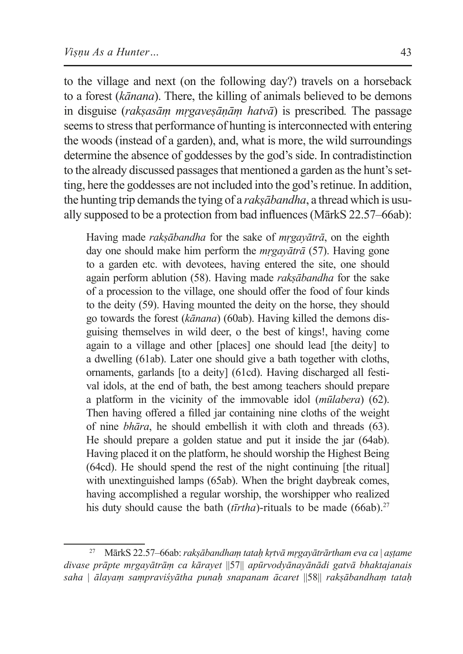to the village and next (on the following day?) travels on a horseback to a forest (*kānana*). There, the killing of animals believed to be demons in disguise (*rakṣasāṃ mṛgaveṣāṇāṃ hatvā*) is prescribed*.* The passage seems to stress that performance of hunting is interconnected with entering the woods (instead of a garden), and, what is more, the wild surroundings determine the absence of goddesses by the god's side. In contradistinction to the already discussed passages that mentioned a garden as the hunt's setting, here the goddesses are not included into the god's retinue. In addition, the hunting trip demands the tying of a *rakṣābandha*, a thread which is usually supposed to be a protection from bad influences (MārkS 22.57–66ab):

Having made *rakṣābandha* for the sake of *mṛgayātrā*, on the eighth day one should make him perform the *mṛgayātrā* (57). Having gone to a garden etc. with devotees, having entered the site, one should again perform ablution (58). Having made *rakṣābandha* for the sake of a procession to the village, one should offer the food of four kinds to the deity (59). Having mounted the deity on the horse, they should go towards the forest (*kānana*) (60ab). Having killed the demons disguising themselves in wild deer, o the best of kings!, having come again to a village and other [places] one should lead [the deity] to a dwelling (61ab). Later one should give a bath together with cloths, ornaments, garlands [to a deity] (61cd). Having discharged all festival idols, at the end of bath, the best among teachers should prepare a platform in the vicinity of the immovable idol (*mūlabera*) (62). Then having offered a filled jar containing nine cloths of the weight of nine *bhāra*, he should embellish it with cloth and threads (63). He should prepare a golden statue and put it inside the jar (64ab). Having placed it on the platform, he should worship the Highest Being (64cd). He should spend the rest of the night continuing [the ritual] with unextinguished lamps (65ab). When the bright daybreak comes, having accomplished a regular worship, the worshipper who realized his duty should cause the bath ( $t\bar{t}r$ *tha*)-rituals to be made (66ab).<sup>27</sup>

<sup>27</sup> MārkS 22.57–66ab: *rakṣābandhaṃ tataḥ kṛtvā mṛgayātrārtham eva ca* | *aṣṭame divase prāpte mṛgayātrāṃ ca kārayet* ||57|| *apūrvodyānayānādi gatvā bhaktajanais saha* | *ālayaṃ saṃpraviśyātha punaḥ snapanam ācaret* ||58|| *rakṣābandhaṃ tataḥ*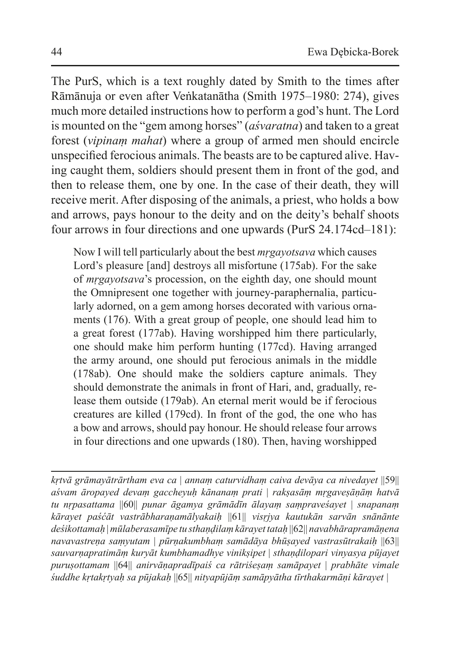The PurS, which is a text roughly dated by Smith to the times after Rāmānuja or even after Veṅkatanātha (Smith 1975–1980: 274), gives much more detailed instructions how to perform a god's hunt. The Lord is mounted on the "gem among horses" (*aśvaratna*) and taken to a great forest (*vipinaṃ mahat*) where a group of armed men should encircle unspecified ferocious animals. The beasts are to be captured alive. Having caught them, soldiers should present them in front of the god, and then to release them, one by one. In the case of their death, they will receive merit. After disposing of the animals, a priest, who holds a bow and arrows, pays honour to the deity and on the deity's behalf shoots four arrows in four directions and one upwards (PurS 24.174cd–181):

Now I will tell particularly about the best *mṛgayotsava* which causes Lord's pleasure [and] destroys all misfortune (175ab). For the sake of *mṛgayotsava*'s procession, on the eighth day, one should mount the Omnipresent one together with journey-paraphernalia, particularly adorned, on a gem among horses decorated with various ornaments (176). With a great group of people, one should lead him to a great forest (177ab). Having worshipped him there particularly, one should make him perform hunting (177cd). Having arranged the army around, one should put ferocious animals in the middle (178ab). One should make the soldiers capture animals. They should demonstrate the animals in front of Hari, and, gradually, release them outside (179ab). An eternal merit would be if ferocious creatures are killed (179cd). In front of the god, the one who has a bow and arrows, should pay honour. He should release four arrows in four directions and one upwards (180). Then, having worshipped

*kṛtvā grāmayātrārtham eva ca* | *annaṃ caturvidhaṃ caiva devāya ca nivedayet* ||59|| *aśvam āropayed devaṃ gaccheyuḥ kānanaṃ prati* | *rakṣasāṃ mṛgaveṣāṇāṃ hatvā tu nṛpasattama* ||60|| *punar āgamya grāmādīn ālayaṃ saṃpraveśayet* | *snapanaṃ kārayet paśćāt vastrābharaṇamālyakaiḥ* ||61|| *visṛjya kautukān sarvān snānānte deśikottamaḥ* | *mūlaberasamīpe tu sthaṇḍilaṃ kārayet tataḥ* ||62|| *navabhārapramāṇena navavastreṇa saṃyutam* | *pūrṇakumbhaṃ samādāya bhūṣayed vastrasūtrakaiḥ* ||63|| *sauvarṇapratimāṃ kuryāt kumbhamadhye vinikṣipet* | *sthaṇḍilopari vinyasya pūjayet puruṣottamam* ||64|| *anirvāṇapradīpaiś ca rātriśeṣaṃ samāpayet* | *prabhāte vimale śuddhe kṛtakṛtyaḥ sa pūjakaḥ* ||65|| *nityapūjāṃ samāpyātha tīrthakarmāṇi kārayet |*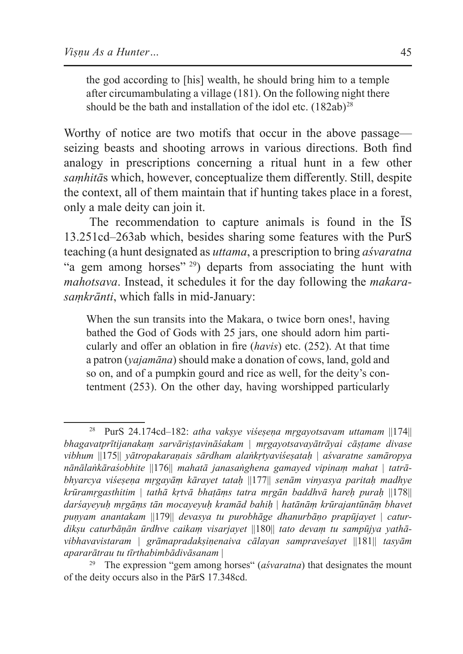the god according to [his] wealth, he should bring him to a temple after circumambulating a village (181). On the following night there should be the bath and installation of the idol etc.  $(182ab)^{28}$ 

Worthy of notice are two motifs that occur in the above passage seizing beasts and shooting arrows in various directions. Both find analogy in prescriptions concerning a ritual hunt in a few other *saṃhitā*s which, however, conceptualize them differently. Still, despite the context, all of them maintain that if hunting takes place in a forest, only a male deity can join it.

The recommendation to capture animals is found in the ĪS 13.251cd–263ab which, besides sharing some features with the PurS teaching (a hunt designated as *uttama*, a prescription to bring *aśvaratna* "a gem among horses"<sup>29</sup>) departs from associating the hunt with *mahotsava*. Instead, it schedules it for the day following the *makarasaṃkrānti*, which falls in mid-January:

When the sun transits into the Makara, o twice born ones!, having bathed the God of Gods with 25 jars, one should adorn him particularly and offer an oblation in fire (*havis*) etc. (252). At that time a patron (*yajamāna*) should make a donation of cows, land, gold and so on, and of a pumpkin gourd and rice as well, for the deity's contentment (253). On the other day, having worshipped particularly

<sup>28</sup> PurS 24.174cd–182: *atha vakṣye viśeṣeṇa mṛgayotsavam uttamam* ||174|| *bhagavatprītijanakaṃ sarvāriṣṭavināśakam* | *mṛgayotsavayātrāyai cāṣṭame divase vibhum* ||175|| *yātropakaraṇais sārdham alaṅkṛtyaviśeṣataḥ* | *aśvaratne samāropya nānālaṅkāraśobhite* ||176|| *mahatā janasaṅghena gamayed vipinaṃ mahat* | *tatrābhyarcya viśeṣeṇa mṛgayāṃ kārayet tataḥ* ||177|| *senām vinyasya paritaḥ madhye krūramṛgasthitim* | *tathā kṛtvā bhaṭāṃs tatra mṛgān baddhvā hareḥ puraḥ* ||178|| *darśayeyuḥ mṛgāṃs tān mocayeyuḥ kramād bahiḥ* | *hatānāṃ krūrajantūnāṃ bhavet puṇyam anantakam* ||179|| *devasya tu purobhāge dhanurbāṇo prapūjayet* | *caturdikṣu caturbāṇān ūrdhve caikaṃ visarjayet* ||180|| *tato devaṃ tu sampūjya yathāvibhavavistaram* | *grāmapradakṣiṇenaiva cālayan sampraveśayet* ||181|| *tasyām apararātrau tu tīrthabimbādivāsanam* |

The expression "gem among horses" (*aśvaratna*) that designates the mount of the deity occurs also in the PārS 17.348cd.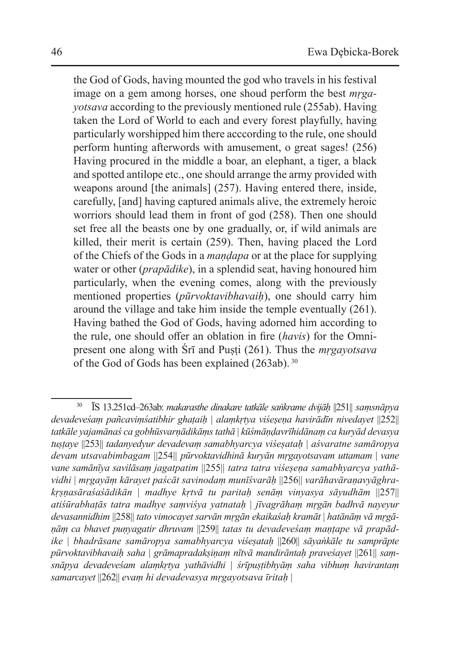the God of Gods, having mounted the god who travels in his festival image on a gem among horses, one shoud perform the best *mṛgayotsava* according to the previously mentioned rule (255ab). Having taken the Lord of World to each and every forest playfully, having particularly worshipped him there acccording to the rule, one should perform hunting afterwords with amusement, o great sages! (256) Having procured in the middle a boar, an elephant, a tiger, a black and spotted antilope etc., one should arrange the army provided with weapons around [the animals] (257). Having entered there, inside, carefully, [and] having captured animals alive, the extremely heroic worriors should lead them in front of god (258). Then one should set free all the beasts one by one gradually, or, if wild animals are killed, their merit is certain (259). Then, having placed the Lord of the Chiefs of the Gods in a *maṇḍapa* or at the place for supplying water or other (*prapādike*), in a splendid seat, having honoured him particularly, when the evening comes, along with the previously mentioned properties (*pūrvoktavibhavaiḥ*), one should carry him around the village and take him inside the temple eventually (261). Having bathed the God of Gods, having adorned him according to the rule, one should offer an oblation in fire (*havis*) for the Omnipresent one along with Śrī and Puṣṭi (261). Thus the *mṛgayotsava* of the God of Gods has been explained (263ab).<sup>30</sup>

<sup>30</sup> ĪS 13.251cd–263ab: *makarasthe dinakare tatkāle saṅkrame dvijāḥ* ||251|| *saṃsnāpya devadeveśaṃ pañcaviṃśatibhir ghaṭaiḥ* | *alaṃkṛtya viśeṣeṇa havirādīn nivedayet* ||252|| *tatkāle yajamānaś ca gobhūsvarṇādikāṃs tathā* | *kūśmāṇḍavrīhidānaṃ ca kuryād devasya tuṣṭaye* ||253|| *tadanyedyur devadevaṃ samabhyarcya viśeṣataḥ* | *aśvaratne samāropya devam utsavabimbagam* ||254|| *pūrvoktavidhinā kuryān mṛgayotsavam uttamam* | *vane vane samānīya savilāsaṃ jagatpatim* ||255|| *tatra tatra viśeṣeṇa samabhyarcya yathāvidhi* | *mṛgayāṃ kārayet paścāt savinodaṃ munīśvarāḥ* ||256|| *varāhavāraṇavyāghrakṛṣṇasāraśaśādikān* | *madhye kṛtvā tu paritaḥ senāṃ vinyasya sāyudhām* ||257|| *atiśūrabhaṭās tatra madhye saṃviśya yatnataḥ* | *jīvagrāhaṃ mṛgān badhvā nayeyur devasannidhim* ||258|| *tato vimocayet sarvān mṛgān ekaikaśaḥ kramāt* | *hatānāṃ vā mṛgāṇāṃ ca bhavet puṇyagatir dhruvam* ||259|| *tatas tu devadeveśaṃ maṇṭape vā prapādike* | *bhadrāsane samāropya samabhyarcya viśeṣataḥ* ||260|| *sāyaṅkāle tu samprāpte pūrvoktavibhavaiḥ saha* | *grāmapradakṣiṇaṃ nītvā mandirāntaḥ praveśayet* ||261|| *saṃsnāpya devadeveśam alaṃkṛtya yathāvidhi* | *śrīpuṣṭibhyāṃ saha vibhuṃ havirantaṃ samarcayet* ||262|| *evaṃ hi devadevasya mṛgayotsava īritaḥ* |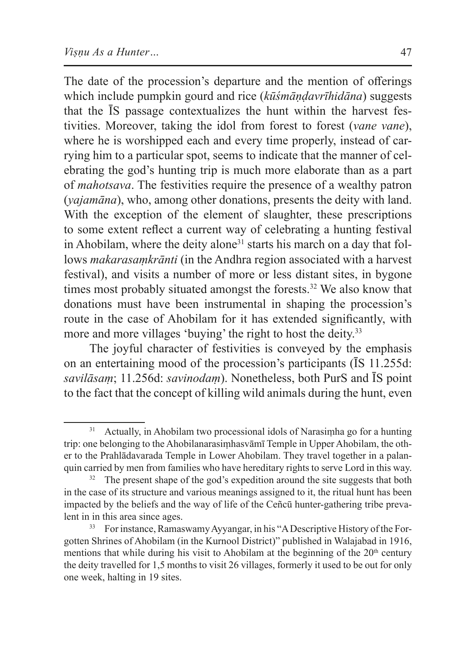The date of the procession's departure and the mention of offerings which include pumpkin gourd and rice (*kūśmāṇḍavrīhidāna*) suggests that the ĪS passage contextualizes the hunt within the harvest festivities. Moreover, taking the idol from forest to forest (*vane vane*), where he is worshipped each and every time properly, instead of carrying him to a particular spot, seems to indicate that the manner of celebrating the god's hunting trip is much more elaborate than as a part of *mahotsava*. The festivities require the presence of a wealthy patron (*yajamāna*), who, among other donations, presents the deity with land. With the exception of the element of slaughter, these prescriptions to some extent reflect a current way of celebrating a hunting festival in Ahobilam, where the deity alone<sup>31</sup> starts his march on a day that follows *makarasaṃkrānti* (in the Andhra region associated with a harvest festival), and visits a number of more or less distant sites, in bygone times most probably situated amongst the forests.<sup>32</sup> We also know that donations must have been instrumental in shaping the procession's route in the case of Ahobilam for it has extended significantly, with more and more villages 'buying' the right to host the deity.<sup>33</sup>

The joyful character of festivities is conveyed by the emphasis on an entertaining mood of the procession's participants (ĪS 11.255d: *savilāsaṃ*; 11.256d: *savinodaṃ*). Nonetheless, both PurS and ĪS point to the fact that the concept of killing wild animals during the hunt, even

<sup>31</sup> Actually, in Ahobilam two processional idols of Narasiṃha go for a hunting trip: one belonging to the Ahobilanarasiṃhasvāmī Temple in Upper Ahobilam, the other to the Prahlādavarada Temple in Lower Ahobilam. They travel together in a palanquin carried by men from families who have hereditary rights to serve Lord in this way.

 $32$  The present shape of the god's expedition around the site suggests that both in the case of its structure and various meanings assigned to it, the ritual hunt has been impacted by the beliefs and the way of life of the Ceñcū hunter-gathering tribe prevalent in in this area since ages.<br><sup>33</sup> For instance, Ramaswamy Ayyangar, in his "A Descriptive History of the For-

gotten Shrines of Ahobilam (in the Kurnool District)" published in Walajabad in 1916, mentions that while during his visit to Ahobilam at the beginning of the  $20<sup>th</sup>$  century the deity travelled for 1,5 months to visit 26 villages, formerly it used to be out for only one week, halting in 19 sites.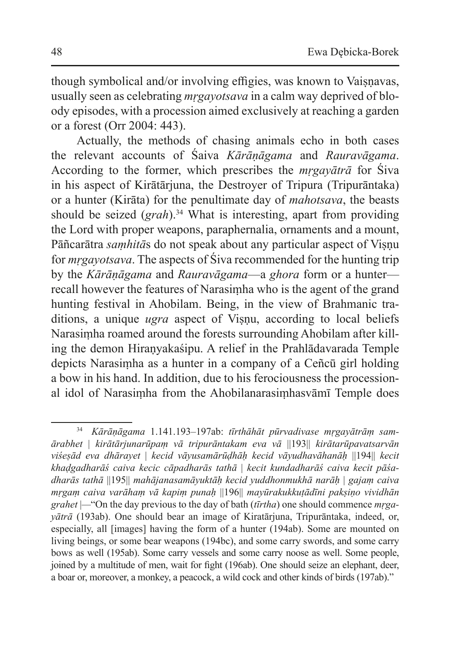though symbolical and/or involving effigies, was known to Vaisnavas, usually seen as celebrating *mṛgayotsava* in a calm way deprived of bloody episodes, with a procession aimed exclusively at reaching a garden or a forest (Orr 2004: 443).

Actually, the methods of chasing animals echo in both cases the relevant accounts of Śaiva *Kārāṇāgama* and *Rauravāgama*. According to the former, which prescribes the *mṛgayātrā* for Śiva in his aspect of Kirātārjuna, the Destroyer of Tripura (Tripurāntaka) or a hunter (Kirāta) for the penultimate day of *mahotsava*, the beasts should be seized (*grah*).<sup>34</sup> What is interesting, apart from providing the Lord with proper weapons, paraphernalia, ornaments and a mount, Pāñcarātra *samhitās* do not speak about any particular aspect of Visnu for *mṛgayotsava*. The aspects of Śiva recommended for the hunting trip by the *Kārāṇāgama* and *Rauravāgama*—a *ghora* form or a hunter recall however the features of Narasiṃha who is the agent of the grand hunting festival in Ahobilam. Being, in the view of Brahmanic traditions, a unique *ugra* aspect of Visnu, according to local beliefs Narasiṃha roamed around the forests surrounding Ahobilam after killing the demon Hiraṇyakaśipu. A relief in the Prahlādavarada Temple depicts Narasiṃha as a hunter in a company of a Ceñcū girl holding a bow in his hand. In addition, due to his ferociousness the processional idol of Narasiṃha from the Ahobilanarasiṃhasvāmī Temple does

<sup>34</sup> *Kārāṇāgama* 1.141.193–197ab: *tīrthāhāt pūrvadivase mṛgayātrāṃ samārabhet* | *kirātārjunarūpaṃ vā tripurāntakam eva vā* ||193|| *kirātarūpavatsarvān viśeṣād eva dhārayet* | *kecid vāyusamārūḍhāḥ kecid vāyudhavāhanāḥ* ||194|| *kecit khaḍgadharāś caiva kecic cāpadharās tathā* | *kecit kundadharāś caiva kecit pāśadharās tathā* ||195|| *mahājanasamāyuktāḥ kecid yuddhonmukhā narāḥ* | *gajaṃ caiva mṛgaṃ caiva varāhaṃ vā kapiṃ punaḥ* ||196|| *mayūrakukkuṭādīni pakṣiṇo vividhān grahet* |*—*"On the day previous to the day of bath (*tīrtha*) one should commence *mṛgayātrā* (193ab). One should bear an image of Kiratārjuna, Tripurāntaka, indeed, or, especially, all [images] having the form of a hunter (194ab). Some are mounted on living beings, or some bear weapons (194bc), and some carry swords, and some carry bows as well (195ab). Some carry vessels and some carry noose as well. Some people, joined by a multitude of men, wait for fight (196ab). One should seize an elephant, deer, a boar or, moreover, a monkey, a peacock, a wild cock and other kinds of birds (197ab)."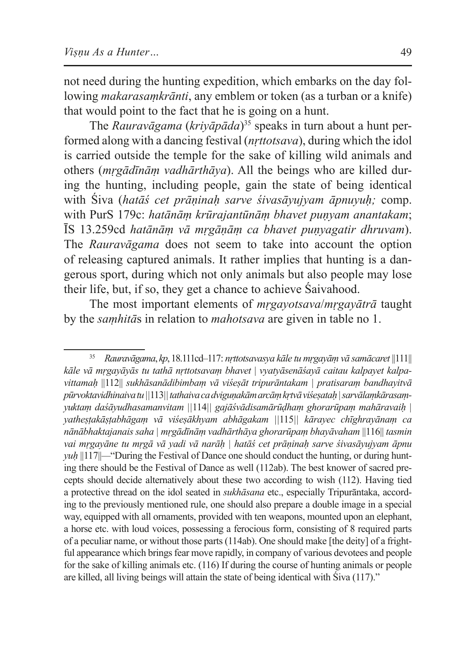not need during the hunting expedition, which embarks on the day following *makarasaṃkrānti*, any emblem or token (as a turban or a knife) that would point to the fact that he is going on a hunt.

The *Rauravāgama* (*kriyāpāda*) <sup>35</sup> speaks in turn about a hunt performed along with a dancing festival (*nṛttotsava*), during which the idol is carried outside the temple for the sake of killing wild animals and others (*mṛgādīnāṃ vadhārthāya*). All the beings who are killed during the hunting, including people, gain the state of being identical with Śiva (*hatāś cet prāṇinaḥ sarve śivasāyujyam āpnuyuḥ;* comp. with PurS 179c: *hatānāṃ krūrajantūnāṃ bhavet puṇyam anantakam*; ĪS 13.259cd *hatānāṃ vā mṛgāṇāṃ ca bhavet puṇyagatir dhruvam*). The *Rauravāgama* does not seem to take into account the option of releasing captured animals. It rather implies that hunting is a dangerous sport, during which not only animals but also people may lose their life, but, if so, they get a chance to achieve Śaivahood.

The most important elements of *mṛgayotsava*/*mṛgayātrā* taught by the *saṃhitā*s in relation to *mahotsava* are given in table no 1.

<sup>35</sup> *Rauravāgama*, *kp*, 18.111cd–117: *nṛttotsavasya kāle tu mṛgayāṃ vā samācaret* ||111|| *kāle vā mṛgayāyās tu tathā nṛttotsavaṃ bhavet* | *vyatyāsenāśayā caitau kalpayet kalpavittamaḥ* ||112|| *sukhāsanādibimbaṃ vā viśeṣāt tripurāntakam | pratisaraṃ bandhayitvā pūrvoktavidhinaiva tu ||*113*||tathaiva ca dviguṇakām arcāṃ kṛtvā viśeṣataḥ |sarvālaṃkārasaṃyuktaṃ daśāyudhasamanvitam ||*114*|| gajāśvādisamārūḍhaṃ ghorarūpaṃ mahāravaiḥ | yatheṣṭakāṣṭabhāgaṃ vā viśeṣākhyam abhāgakam ||*115*|| kārayec chīghrayānaṃ ca nānābhaktajanais saha | mṛgādīnāṃ vadhārthāya ghorarūpaṃ bhayāvaham* ||116|| *tasmin vai mṛgayāne tu mṛgā vā yadi vā narāḥ | hatāś cet prāṇinaḥ sarve śivasāyujyam āpnu yuh* ||117||—"During the Festival of Dance one should conduct the hunting, or during hunting there should be the Festival of Dance as well (112ab). The best knower of sacred precepts should decide alternatively about these two according to wish (112). Having tied a protective thread on the idol seated in *sukhāsana* etc., especially Tripurāntaka, according to the previously mentioned rule, one should also prepare a double image in a special way, equipped with all ornaments, provided with ten weapons, mounted upon an elephant, a horse etc. with loud voices, possessing a ferocious form, consisting of 8 required parts of a peculiar name, or without those parts (114ab). One should make [the deity] of a frightful appearance which brings fear move rapidly, in company of various devotees and people for the sake of killing animals etc. (116) If during the course of hunting animals or people are killed, all living beings will attain the state of being identical with Śiva (117)."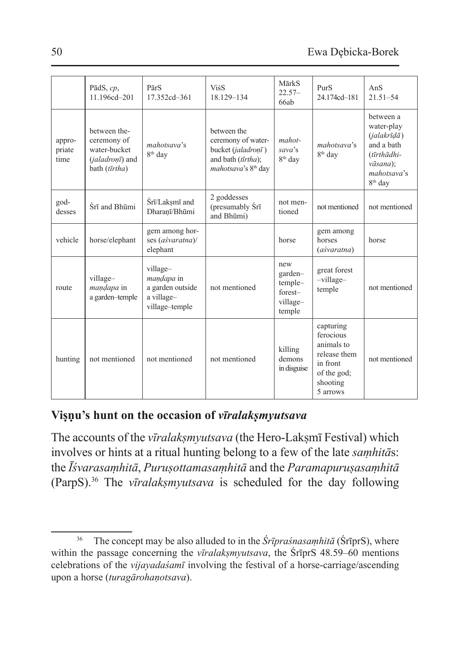|                          | PādS, $cp$ ,<br>11.196cd-201                                                    | PārS<br>17.352cd-361                                                       | <b>ViśS</b><br>18.129-134                                                                                        | MārkS<br>$22.57-$<br>66ab                                  | PurS<br>24.174cd-181                                                                                    | Ans.<br>$21.51 - 54$                                                                                                                    |
|--------------------------|---------------------------------------------------------------------------------|----------------------------------------------------------------------------|------------------------------------------------------------------------------------------------------------------|------------------------------------------------------------|---------------------------------------------------------------------------------------------------------|-----------------------------------------------------------------------------------------------------------------------------------------|
| appro-<br>priate<br>time | between the-<br>ceremony of<br>water-bucket<br>(jaladronī) and<br>bath (tīrtha) | mahotsaya's<br>8 <sup>th</sup> day                                         | between the<br>ceremony of water-<br>bucket (jaladronī)<br>and bath (tīrtha);<br>mahotsava's 8 <sup>th</sup> day | mahot-<br>sava's<br>8 <sup>th</sup> day                    | mahotsaya's<br>8 <sup>th</sup> day                                                                      | between a<br>water-play<br>$(ialakr\bar{\iota}d\bar{a})$<br>and a bath<br>(tīrthādhi-<br>vāsana):<br>mahotsaya's<br>8 <sup>th</sup> day |
| god-<br>desses           | Śrī and Bhūmi                                                                   | Srī/Laksmī and<br>Dharanī/Bhūmi                                            | 2 goddesses<br>(presumably Srī<br>and Bhūmi)                                                                     | not men-<br>tioned                                         | not mentioned                                                                                           | not mentioned                                                                                                                           |
| vehicle                  | horse/elephant                                                                  | gem among hor-<br>ses (aśvaratna)/<br>elephant                             |                                                                                                                  | horse                                                      | gem among<br>horses<br>(aśvaratna)                                                                      | horse                                                                                                                                   |
| route                    | village-<br><i>mandapa</i> in<br>a garden-temple                                | village-<br>mandapa in<br>a garden outside<br>a village-<br>village-temple | not mentioned                                                                                                    | new<br>garden-<br>temple-<br>forest-<br>village-<br>temple | great forest<br>-village-<br>temple                                                                     | not mentioned                                                                                                                           |
| hunting                  | not mentioned                                                                   | not mentioned                                                              | not mentioned                                                                                                    | killing<br>demons<br>in disguise                           | capturing<br>ferocious<br>animals to<br>release them<br>in front<br>of the god;<br>shooting<br>5 arrows | not mentioned                                                                                                                           |

### **Viṣṇu's hunt on the occasion of** *vīralakṣmyutsava*

The accounts of the *vīralakṣmyutsava* (the Hero-Lakṣmī Festival) which involves or hints at a ritual hunting belong to a few of the late *saṃhitā*s: the *Īśvarasaṃhitā*, *Puruṣottamasaṃhitā* and the *Paramapuruṣasaṃhitā*  (ParpS).36 The *vīralakṣmyutsava* is scheduled for the day following

<sup>36</sup> The concept may be also alluded to in the *Śrīpraśnasaṃhitā* (ŚrīprS), where within the passage concerning the *vīralakṣmyutsava*, the ŚrīprS 48.59–60 mentions celebrations of the *vijayadaśamī* involving the festival of a horse-carriage/ascending upon a horse (*turagārohaṇotsava*).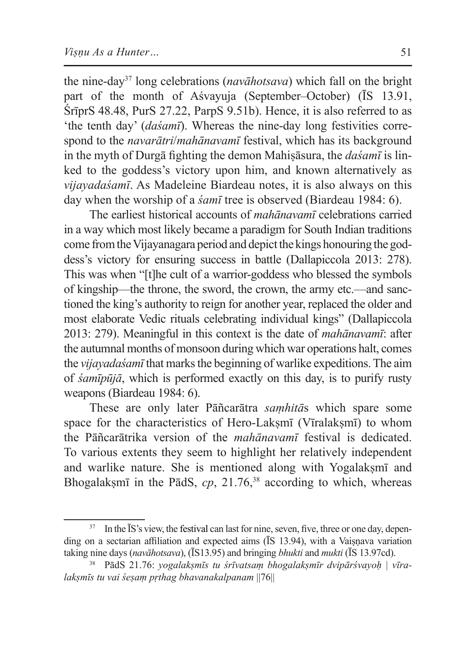the nine-day37 long celebrations (*navāhotsava*) which fall on the bright part of the month of Aśvayuja (September–October) (ĪS 13.91, ŚrīprS 48.48, PurS 27.22, ParpS 9.51b). Hence, it is also referred to as 'the tenth day' (*daśamī*). Whereas the nine-day long festivities correspond to the *navarātri*/*mahānavamī* festival, which has its background in the myth of Durgā fighting the demon Mahiṣāsura, the *daśamī* is linked to the goddess's victory upon him, and known alternatively as *vijayadaśamī*. As Madeleine Biardeau notes, it is also always on this day when the worship of a *śamī* tree is observed (Biardeau 1984: 6).

The earliest historical accounts of *mahānavamī* celebrations carried in a way which most likely became a paradigm for South Indian traditions come from the Vijayanagara period and depict the kings honouring the goddess's victory for ensuring success in battle (Dallapiccola 2013: 278). This was when "[t]he cult of a warrior-goddess who blessed the symbols of kingship—the throne, the sword, the crown, the army etc.—and sanctioned the king's authority to reign for another year, replaced the older and most elaborate Vedic rituals celebrating individual kings" (Dallapiccola 2013: 279). Meaningful in this context is the date of *mahānavamī*: after the autumnal months of monsoon during which war operations halt, comes the *vijayadaśamī* that marks the beginning of warlike expeditions. The aim of *śamīpūjā*, which is performed exactly on this day, is to purify rusty weapons (Biardeau 1984: 6).

These are only later Pāñcarātra *saṃhitā*s which spare some space for the characteristics of Hero-Laksmī (Vīralaksmī) to whom the Pāñcarātrika version of the *mahānavamī* festival is dedicated. To various extents they seem to highlight her relatively independent and warlike nature. She is mentioned along with Yogalaksm<sub>I</sub> and Bhogalakṣmī in the PādS, cp, 21.76,<sup>38</sup> according to which, whereas

<sup>&</sup>lt;sup>37</sup> In the IS's view, the festival can last for nine, seven, five, three or one day, depending on a sectarian affiliation and expected aims (IS 13.94), with a Vaisnava variation taking nine days (*navāhotsava*), (ĪS13.95) and bringing *bhukti* and *mukti* (ĪS 13.97cd).

<sup>38</sup> PādS 21.76: *yogalakṣmīs tu śrīvatsaṃ bhogalakṣmīr dvipārśvayoḥ | vīralakṣmīs tu vai śeṣaṃ pṛthag bhavanakalpanam* ||76||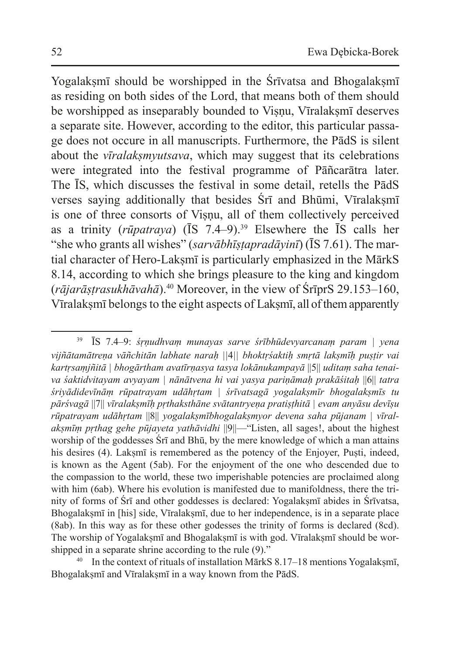Yogalaksmī should be worshipped in the Śrīvatsa and Bhogalaksmī as residing on both sides of the Lord, that means both of them should be worshipped as inseparably bounded to Visnu, Vīralaksmī deserves a separate site. However, according to the editor, this particular passage does not occure in all manuscripts. Furthermore, the PādS is silent about the *vīralakṣmyutsava*, which may suggest that its celebrations were integrated into the festival programme of Pāñcarātra later. The ĪS, which discusses the festival in some detail, retells the PādS verses saying additionally that besides Srī and Bhūmi, Vīralaksmī is one of three consorts of Visnu, all of them collectively perceived as a trinity (*rūpatraya*) (ĪS 7.4–9).<sup>39</sup> Elsewhere the ĪS calls her "she who grants all wishes" (*sarvābhīṣṭapradāyinī*) (ĪS 7.61). The martial character of Hero-Laksmī is particularly emphasized in the MārkS 8.14, according to which she brings pleasure to the king and kingdom (*rājarāṣṭrasukhāvahā*).40 Moreover, in the view of ŚrīprS 29.153–160, Vīralaksmī belongs to the eight aspects of Laksmī, all of them apparently

<sup>40</sup> In the context of rituals of installation MārkS  $8.17-18$  mentions Yogalaksmī, Bhogalaksmī and Vīralaksmī in a way known from the PādS.

<sup>39</sup> ĪS 7.4–9: *śṛṇudhvaṃ munayas sarve śrībhūdevyarcanaṃ param | yena vijñātamātreṇa vāñchitān labhate naraḥ ||*4*|| bhoktṛśaktiḥ smṛtā lakṣmīḥ puṣṭir vai kartṛsaṃjñitā | bhogārtham avatīrṇasya tasya lokānukampayā* ||5|| *uditaṃ saha tenaiva śaktidvitayam avyayam | nānātvena hi vai yasya pariṇāmaḥ prakāśitaḥ* ||6|| *tatra śriyādidevīnāṃ rūpatrayam udāhṛtam | śrīvatsagā yogalakṣmīr bhogalakṣmīs tu pārśvagā* ||7|| *vīralakṣmīḥ pṛthaksthāne svātantryeṇa pratiṣṭhitā | evam anyāsu devīṣu rūpatrayam udāhṛtam* ||8|| *yogalakṣmībhogalakṣmyor devena saha pūjanam | vīralakṣmīṃ pṛthag gehe pūjayeta yathāvidhi* ||9||—"Listen, all sages!, about the highest worship of the goddesses Śrī and Bhū, by the mere knowledge of which a man attains his desires (4). Lakṣmī is remembered as the potency of the Enjoyer, Puṣti, indeed, is known as the Agent (5ab). For the enjoyment of the one who descended due to the compassion to the world, these two imperishable potencies are proclaimed along with him (6ab). Where his evolution is manifested due to manifoldness, there the trinity of forms of Śrī and other goddesses is declared: Yogalakṣmī abides in Śrīvatsa, Bhogalakṣmī in [his] side, Vīralakṣmī, due to her independence, is in a separate place (8ab). In this way as for these other godesses the trinity of forms is declared (8cd). The worship of Yogalakṣmī and Bhogalakṣmī is with god. Vīralakṣmī should be worshipped in a separate shrine according to the rule (9)."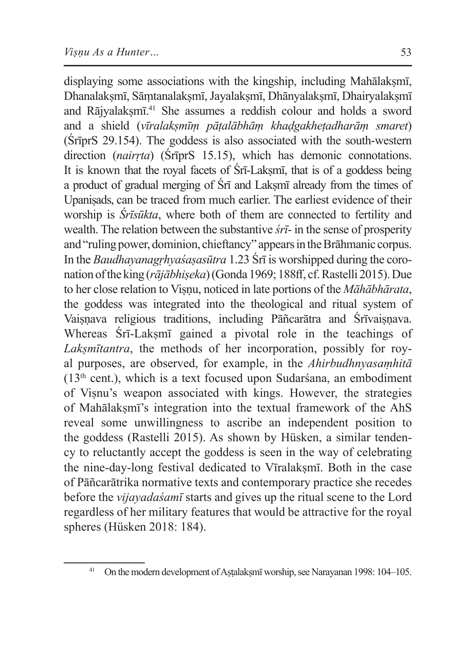displaying some associations with the kingship, including Mahālaksmī, Dhanalakṣmī, Sāṃtanalakṣmī, Jayalakṣmī, Dhānyalakṣmī, Dhairyalakṣmī and Rājyalaksmī.<sup>41</sup> She assumes a reddish colour and holds a sword and a shield (*vīralakṣmīṃ pāṭalābhāṃ khaḍgakheṭadharāṃ smaret*) (ŚrīprS 29.154). The goddess is also associated with the south-western direction (*nairṛta*) (ŚrīprS 15.15), which has demonic connotations. It is known that the royal facets of  $\overline{S}$ rī-Laksmī, that is of a goddess being a product of gradual merging of Śrī and Lakṣmī already from the times of Upaniṣads, can be traced from much earlier. The earliest evidence of their worship is *Śrīsūkta*, where both of them are connected to fertility and wealth. The relation between the substantive *śrī*- in the sense of prosperity and "ruling power, dominion, chieftancy" appears in the Brāhmanic corpus. In the *Baudhayanagṛhyaśaṣasūtra* 1.23 Śrī is worshipped during the coronation ofthe king (*rājābhiṣeka*) (Gonda 1969; 188ff, cf. Rastelli 2015). Due to her close relation to Viṣṇu, noticed in late portions of the *Māhābhārata*, the goddess was integrated into the theological and ritual system of Vaisnava religious traditions, including Pāñcarātra and Śrīvaisnava. Whereas Srī-Laksmī gained a pivotal role in the teachings of *Lakṣmītantra*, the methods of her incorporation, possibly for royal purposes, are observed, for example, in the *Ahirbudhnyasaṃhitā*  $(13<sup>th</sup> cent.)$ , which is a text focused upon Sudarsana, an embodiment of Viṣnu's weapon associated with kings. However, the strategies of Mahālakṣmī's integration into the textual framework of the AhS reveal some unwillingness to ascribe an independent position to the goddess (Rastelli 2015). As shown by Hüsken, a similar tendency to reluctantly accept the goddess is seen in the way of celebrating the nine-day-long festival dedicated to Vīralakṣmī. Both in the case of Pāñcarātrika normative texts and contemporary practice she recedes before the *vijayadaśamī* starts and gives up the ritual scene to the Lord regardless of her military features that would be attractive for the royal spheres (Hüsken 2018: 184).

<sup>&</sup>lt;sup>41</sup> On the modern development of Astalaksmī worship, see Narayanan 1998: 104–105.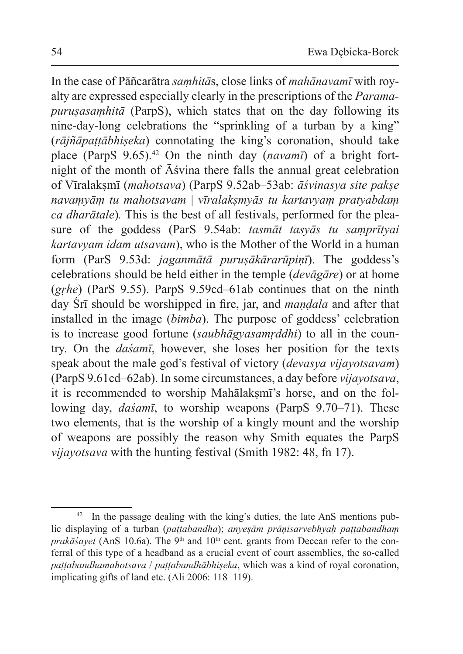In the case of Pāñcarātra *saṃhitā*s, close links of *mahānavamī* with royalty are expressed especially clearly in the prescriptions of the *Paramapuruṣasaṃhitā* (ParpS), which states that on the day following its nine-day-long celebrations the "sprinkling of a turban by a king" (*rājñāpaṭṭābhiṣeka*) connotating the king's coronation, should take place (ParpS 9.65).42 On the ninth day (*navamī*) of a bright fortnight of the month of Āśvina there falls the annual great celebration of Vīralakṣmī (*mahotsava*) (ParpS 9.52ab–53ab: *āśvinasya site pakṣe navaṃyāṃ tu mahotsavam* | *vīralakṣmyās tu kartavyaṃ pratyabdaṃ ca dharātale*)*.* This is the best of all festivals, performed for the pleasure of the goddess (ParS 9.54ab: *tasmāt tasyās tu saṃprītyai kartavyam idam utsavam*), who is the Mother of the World in a human form (ParS 9.53d: *jaganmātā puruṣākārarūpiṇī*). The goddess's celebrations should be held either in the temple (*devāgāre*) or at home (*gṛhe*) (ParS 9.55). ParpS 9.59cd–61ab continues that on the ninth day Śrī should be worshipped in fire, jar, and *maṇḍala* and after that installed in the image (*bimba*). The purpose of goddess' celebration is to increase good fortune (*saubhāgyasamṛddhi*) to all in the country. On the *daśamī*, however, she loses her position for the texts speak about the male god's festival of victory (*devasya vijayotsavam*) (ParpS 9.61cd–62ab). In some circumstances, a day before *vijayotsava*, it is recommended to worship Mahālaksmī's horse, and on the following day, *daśamī*, to worship weapons (ParpS 9.70–71). These two elements, that is the worship of a kingly mount and the worship of weapons are possibly the reason why Smith equates the ParpS *vijayotsava* with the hunting festival (Smith 1982: 48, fn 17).

<sup>&</sup>lt;sup>42</sup> In the passage dealing with the king's duties, the late AnS mentions public displaying of a turban (*paṭṭabandha*); *anyeṣām prāṇisarvebhyaḥ paṭṭabandhaṃ prakāśayet* (AnS 10.6a). The 9<sup>th</sup> and 10<sup>th</sup> cent. grants from Deccan refer to the conferral of this type of a headband as a crucial event of court assemblies, the so-called *paṭṭabandhamahotsava* / *paṭṭabandhābhiṣeka*, which was a kind of royal coronation, implicating gifts of land etc. (Ali 2006: 118–119).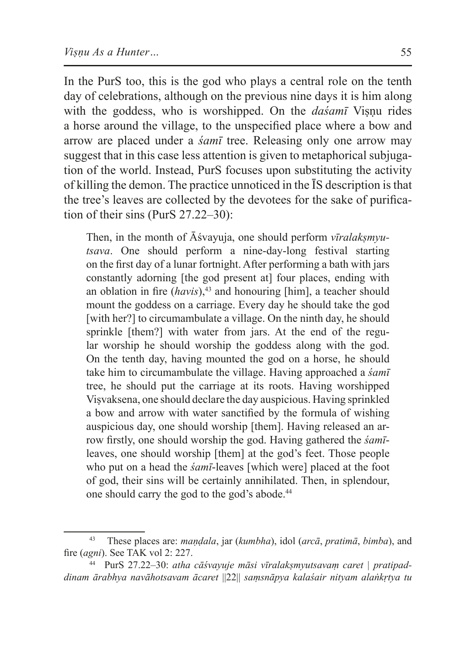In the PurS too, this is the god who plays a central role on the tenth day of celebrations, although on the previous nine days it is him along with the goddess, who is worshipped. On the *dasamī* Visnu rides a horse around the village, to the unspecified place where a bow and arrow are placed under a *śamī* tree. Releasing only one arrow may suggest that in this case less attention is given to metaphorical subjugation of the world. Instead, PurS focuses upon substituting the activity of killing the demon. The practice unnoticed in the ĪS description isthat the tree's leaves are collected by the devotees for the sake of purification of their sins (PurS 27.22–30):

Then, in the month of Āśvayuja, one should perform *vīralakṣmyutsava*. One should perform a nine-day-long festival starting on the first day of a lunar fortnight. After performing a bath with jars constantly adorning [the god present at] four places, ending with an oblation in fire (*havis*),<sup>43</sup> and honouring [him], a teacher should mount the goddess on a carriage. Every day he should take the god [with her?] to circumambulate a village. On the ninth day, he should sprinkle [them?] with water from jars. At the end of the regular worship he should worship the goddess along with the god. On the tenth day, having mounted the god on a horse, he should take him to circumambulate the village. Having approached a *śamī* tree, he should put the carriage at its roots. Having worshipped Viṣvaksena, one should declare the day auspicious. Having sprinkled a bow and arrow with water sanctified by the formula of wishing auspicious day, one should worship [them]. Having released an arrow firstly, one should worship the god. Having gathered the *śamī*leaves, one should worship [them] at the god's feet. Those people who put on a head the *śamī*-leaves [which were] placed at the foot of god, their sins will be certainly annihilated. Then, in splendour, one should carry the god to the god's abode.44

<sup>43</sup> These places are: *maṇḍala*, jar (*kumbha*), idol (*arcā*, *pratimā*, *bimba*), and fire (*agni*). See TAK vol 2: 227.

<sup>44</sup> PurS 27.22–30: *atha cāśvayuje māsi vīralakṣmyutsavaṃ caret | pratipaddinam ārabhya navāhotsavam ācaret* ||22|| *saṃsnāpya kalaśair nityam alaṅkṛtya tu*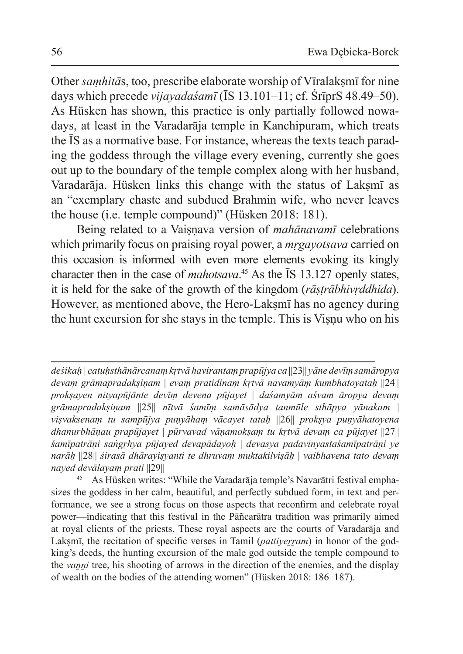Other *samhitās*, too, prescribe elaborate worship of Vīralaksmī for nine days which precede *vijayadaśamī* (ĪS 13.101–11; cf. ŚrīprS 48.49–50). As Hüsken has shown, this practice is only partially followed nowadays, at least in the Varadarāja temple in Kanchipuram, which treats the ĪS as a normative base. For instance, whereas the texts teach parading the goddess through the village every evening, currently she goes out up to the boundary of the temple complex along with her husband, Varadarāja. Hüsken links this change with the status of Laksmī as an "exemplary chaste and subdued Brahmin wife, who never leaves the house (i.e. temple compound)" (Hüsken 2018: 181).

Being related to a Vaisnava version of *mahānavamī* celebrations which primarily focus on praising royal power, a *mṛgayotsava* carried on this occasion is informed with even more elements evoking its kingly character then in the case of *mahotsava*. 45 As the ĪS 13.127 openly states, it is held for the sake of the growth of the kingdom (*rāṣṭrābhivṛddhida*). However, as mentioned above, the Hero-Laksmī has no agency during the hunt excursion for she stays in the temple. This is Visnu who on his

*deśikaḥ | catuḥsthānārcanaṃ kṛtvā havirantaṃ prapūjya ca* ||23|| *yāne devīṃ samāropya devaṃ grāmapradakṣiṇam* | *evaṃ pratidinaṃ kṛtvā navamyāṃ kumbhatoyataḥ* ||24|| *prokṣayen nityapūjānte devīṃ devena pūjayet* | *daśamyām aśvam āropya devaṃ grāmapradakṣiṇam* ||25|| *nītvā śamīṃ samāsādya tanmūle sthāpya yānakam* | *viṣvaksenaṃ tu sampūjya puṇyāhaṃ vācayet tataḥ* ||26|| *prokṣya puṇyāhatoyena dhanurbhāṇau prapūjayet* | *pūrvavad vāṇamokṣaṃ tu kṛtvā devaṃ ca pūjayet* ||27|| *śamīpatrāṇi saṅgṛhya pūjayed devapādayoḥ* | *devasya padavinyastaśamīpatrāṇi ye narāḥ* ||28|| *śirasā dhārayiṣyanti te dhruvaṃ muktakilviṣāḥ* | *vaibhavena tato devaṃ nayed devālayaṃ prati* ||29||

<sup>45</sup> As Hüsken writes: "While the Varadarāja temple's Navarātri festival emphasizes the goddess in her calm, beautiful, and perfectly subdued form, in text and performance, we see a strong focus on those aspects that reconfirm and celebrate royal power—indicating that this festival in the Pāñcarātra tradition was primarily aimed at royal clients of the priests. These royal aspects are the courts of Varadarāja and Lakṣmī, the recitation of specific verses in Tamil (*pattiyerram*) in honor of the godking's deeds, the hunting excursion of the male god outside the temple compound to the *vaṉṉi* tree, his shooting of arrows in the direction of the enemies, and the display of wealth on the bodies of the attending women" (Hüsken 2018: 186–187).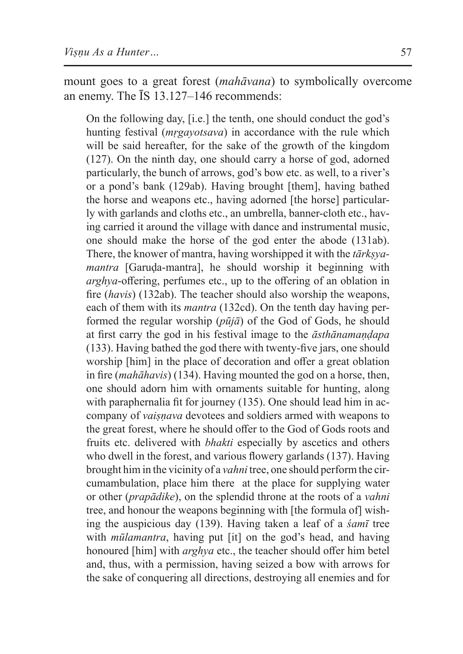mount goes to a great forest (*mahāvana*) to symbolically overcome an enemy. The ĪS 13.127–146 recommends:

On the following day, [i.e.] the tenth, one should conduct the god's hunting festival (*mṛgayotsava*) in accordance with the rule which will be said hereafter, for the sake of the growth of the kingdom (127). On the ninth day, one should carry a horse of god, adorned particularly, the bunch of arrows, god's bow etc. as well, to a river's or a pond's bank (129ab). Having brought [them], having bathed the horse and weapons etc., having adorned [the horse] particularly with garlands and cloths etc., an umbrella, banner-cloth etc., having carried it around the village with dance and instrumental music, one should make the horse of the god enter the abode (131ab). There, the knower of mantra, having worshipped it with the *tārkṣyamantra* [Garuḍa-mantra], he should worship it beginning with *arghya*-offering, perfumes etc., up to the offering of an oblation in fire (*havis*) (132ab). The teacher should also worship the weapons, each of them with its *mantra* (132cd). On the tenth day having performed the regular worship (*pūjā*) of the God of Gods, he should at first carry the god in his festival image to the *āsthānamaṇḍapa*  (133). Having bathed the god there with twenty-five jars, one should worship [him] in the place of decoration and offer a great oblation in fire (*mahāhavis*) (134). Having mounted the god on a horse, then, one should adorn him with ornaments suitable for hunting, along with paraphernalia fit for journey (135). One should lead him in accompany of *vaiṣṇava* devotees and soldiers armed with weapons to the great forest, where he should offer to the God of Gods roots and fruits etc. delivered with *bhakti* especially by ascetics and others who dwell in the forest, and various flowery garlands (137). Having brought him in the vicinity of a *vahni* tree, one should perform the circumambulation, place him there at the place for supplying water or other (*prapādike*), on the splendid throne at the roots of a *vahni* tree, and honour the weapons beginning with [the formula of] wishing the auspicious day (139). Having taken a leaf of a *śamī* tree with *mūlamantra*, having put [it] on the god's head, and having honoured [him] with *arghya* etc., the teacher should offer him betel and, thus, with a permission, having seized a bow with arrows for the sake of conquering all directions, destroying all enemies and for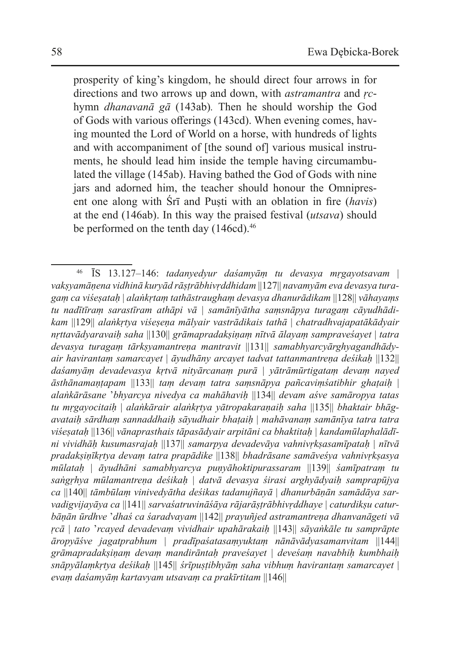prosperity of king's kingdom, he should direct four arrows in for directions and two arrows up and down, with *astramantra* and *ṛc*hymn *dhanavanā gā* (143ab)*.* Then he should worship the God of Gods with various offerings (143cd). When evening comes, having mounted the Lord of World on a horse, with hundreds of lights and with accompaniment of [the sound of] various musical instruments, he should lead him inside the temple having circumambulated the village (145ab). Having bathed the God of Gods with nine jars and adorned him, the teacher should honour the Omnipresent one along with Śrī and Puṣti with an oblation in fire (*havis*) at the end (146ab). In this way the praised festival (*utsava*) should be performed on the tenth day (146cd).<sup>46</sup>

<sup>46</sup> ĪS 13.127–146: *tadanyedyur daśamyāṃ tu devasya mṛgayotsavam* | *vakṣyamāṇena vidhinā kuryād rāṣṭrābhivṛddhidam* ||127|| *navamyām eva devasya turagaṃ ca viśeṣataḥ* | *alaṅkṛtaṃ tathāstraughaṃ devasya dhanurādikam* ||128|| *vāhayaṃs tu nadītīraṃ sarastīram athāpi vā* | *samānīyātha saṃsnāpya turagaṃ cāyudhādikam* ||129|| *alaṅkṛtya viśeṣeṇa mālyair vastrādikais tathā* | *chatradhvajapatākādyair nṛttavādyaravaiḥ saha* ||130|| *grāmapradakṣiṇaṃ nītvā ālayaṃ sampraveśayet* | *tatra devasya turagaṃ tārkṣyamantreṇa mantravit* ||131|| *samabhyarcyārghyagandhādyair havirantaṃ samarcayet* | *āyudhāny arcayet tadvat tattanmantreṇa deśikaḥ* ||132|| *daśamyāṃ devadevasya kṛtvā nityārcanaṃ purā* | *yātrāmūrtigataṃ devaṃ nayed āsthānamaṇṭapam* ||133|| *taṃ devaṃ tatra saṃsnāpya pañcaviṃśatibhir ghaṭaiḥ* | *alaṅkārāsane* '*bhyarcya nivedya ca mahāhaviḥ* ||134|| *devam aśve samāropya tatas tu mṛgayocitaiḥ* | *alaṅkārair alaṅkṛtya yātropakaraṇaiḥ saha* ||135|| *bhaktair bhāgavataiḥ sārdhaṃ sannaddhaiḥ sāyudhair bhaṭaiḥ* | *mahāvanaṃ samānīya tatra tatra viśeṣataḥ* ||136|| *vānaprasthais tāpasādyair arpitāni ca bhaktitaḥ | kandamūlaphalādīni vividhāḥ kusumasrajaḥ* ||137|| *samarpya devadevāya vahnivṛkṣasamīpataḥ* | *nītvā pradakṣiṇīkṛtya devaṃ tatra prapādike* ||138|| *bhadrāsane samāveśya vahnivṛkṣasya mūlataḥ* | *āyudhāni samabhyarcya puṇyāhoktipurassaram* ||139|| *śamīpatraṃ tu saṅgṛhya mūlamantreṇa deśikaḥ* | *datvā devasya śirasi arghyādyaiḥ samprapūjya ca* ||140|| *tāmbūlaṃ vinivedyātha deśikas tadanujñayā* | *dhanurbāṇān samādāya sarvadigvijayāya ca* ||141|| *sarvaśatruvināśāya rājarāṣṭrābhivṛddhaye* | *caturdikṣu caturbāṇān ūrdhve* '*dhaś ca śaradvayam* ||142|| *prayuñjed astramantreṇa dhanvanāgeti vā ṛcā* | *tato* '*rcayed devadevaṃ vividhair upahārakaiḥ* ||143|| *sāyaṅkāle tu samprāpte āropyāśve jagatprabhum* | *pradīpaśatasaṃyuktaṃ nānāvādyasamanvitam* ||144|| *grāmapradakṣiṇaṃ devaṃ mandirāntaḥ praveśayet* | *deveśaṃ navabhiḥ kumbhaiḥ snāpyālaṃkṛtya deśikaḥ* ||145|| *śrīpuṣṭibhyāṃ saha vibhuṃ havirantaṃ samarcayet* | *evaṃ daśamyāṃ kartavyam utsavaṃ ca prakīrtitam* ||146||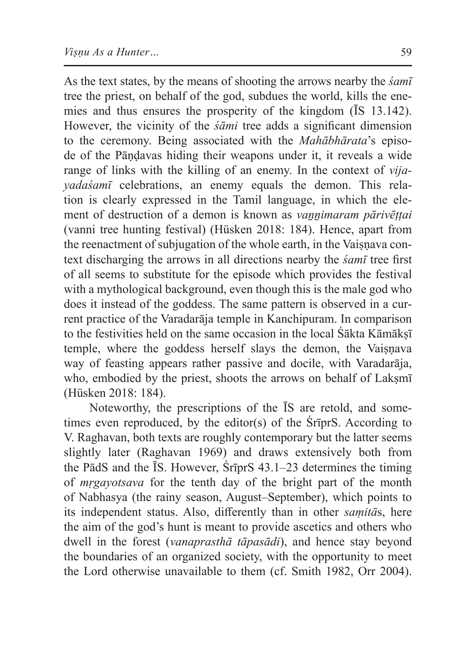As the text states, by the means of shooting the arrows nearby the *śamī* tree the priest, on behalf of the god, subdues the world, kills the enemies and thus ensures the prosperity of the kingdom (ĪS 13.142). However, the vicinity of the *śāmi* tree adds a significant dimension to the ceremony. Being associated with the *Mahābhārata*'s episode of the Pāṇḍavas hiding their weapons under it, it reveals a wide range of links with the killing of an enemy. In the context of *vijayadaśamī* celebrations, an enemy equals the demon. This relation is clearly expressed in the Tamil language, in which the element of destruction of a demon is known as *vaṉṉimaram pārivēṭṭai* (vanni tree hunting festival) (Hüsken 2018: 184). Hence, apart from the reenactment of subjugation of the whole earth, in the Vaisnava context discharging the arrows in all directions nearby the *śamī* tree first of all seems to substitute for the episode which provides the festival with a mythological background, even though this is the male god who does it instead of the goddess. The same pattern is observed in a current practice of the Varadarāja temple in Kanchipuram. In comparison to the festivities held on the same occasion in the local Śākta Kāmāksī temple, where the goddess herself slays the demon, the Vaiṣṇava way of feasting appears rather passive and docile, with Varadarāja, who, embodied by the priest, shoots the arrows on behalf of Lakṣmī (Hüsken 2018: 184).

Noteworthy, the prescriptions of the ĪS are retold, and sometimes even reproduced, by the editor(s) of the ŚrīprS. According to V. Raghavan, both texts are roughly contemporary but the latter seems slightly later (Raghavan 1969) and draws extensively both from the PādS and the ĪS. However, ŚrīprS 43.1–23 determines the timing of *mṛgayotsava* for the tenth day of the bright part of the month of Nabhasya (the rainy season, August–September), which points to its independent status. Also, differently than in other *saṃitā*s, here the aim of the god's hunt is meant to provide ascetics and others who dwell in the forest (*vanaprasthā tāpasādi*), and hence stay beyond the boundaries of an organized society, with the opportunity to meet the Lord otherwise unavailable to them (cf. Smith 1982, Orr 2004).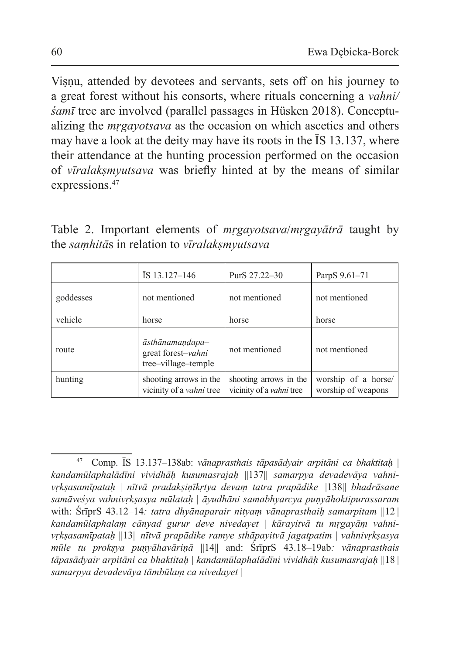Viṣṇu, attended by devotees and servants, sets off on his journey to a great forest without his consorts, where rituals concerning a *vahni/ śamī* tree are involved (parallel passages in Hüsken 2018). Conceptualizing the *mṛgayotsava* as the occasion on which ascetics and others may have a look at the deity may have its roots in the ĪS 13.137, where their attendance at the hunting procession performed on the occasion of *vīralakṣmyutsava* was briefly hinted at by the means of similar expressions.<sup>47</sup>

Table 2. Important elements of *mṛgayotsava*/*mṛgayātrā* taught by the *saṃhitā*s in relation to *vīralakṣmyutsava*

|           | $\overline{I}S$ 13.127–146                                   | PurS 27.22-30                                             | ParpS 9.61-71                             |
|-----------|--------------------------------------------------------------|-----------------------------------------------------------|-------------------------------------------|
| goddesses | not mentioned                                                | not mentioned                                             | not mentioned                             |
| vehicle   | horse                                                        | horse                                                     | horse                                     |
| route     | āsthānamandapa-<br>great forest-vahni<br>tree-village-temple | not mentioned                                             | not mentioned                             |
| hunting   | shooting arrows in the<br>vicinity of a <i>vahni</i> tree    | shooting arrows in the<br>vicinity of a <i>vahni</i> tree | worship of a horse/<br>worship of weapons |

<sup>47</sup> Comp. ĪS 13.137–138ab: *vānaprasthais tāpasādyair arpitāni ca bhaktitaḥ* | *kandamūlaphalādīni vividhāḥ kusumasrajaḥ* ||137|| *samarpya devadevāya vahnivṛkṣasamīpataḥ* | *nītvā pradakṣiṇīkṛtya devaṃ tatra prapādike* ||138|| *bhadrāsane samāveśya vahnivṛkṣasya mūlataḥ* | *āyudhāni samabhyarcya puṇyāhoktipurassaram* with: ŚrīprS 43.12–14*: tatra dhyānaparair nityaṃ vānaprasthaiḥ samarpitam* ||12|| *kandamūlaphalaṃ cānyad gurur deve nivedayet* | *kārayitvā tu mṛgayāṃ vahnivṛkṣasamīpataḥ* ||13|| *nītvā prapādike ramye sthāpayitvā jagatpatim* | *vahnivṛkṣasya mūle tu prokṣya puṇyāhavāriṇā* ||14|| and: ŚrīprS 43.18–19ab*: vānaprasthais tāpasādyair arpitāni ca bhaktitaḥ* | *kandamūlaphalādīni vividhāḥ kusumasrajaḥ* ||18|| *samarpya devadevāya tāmbūlaṃ ca nivedayet |*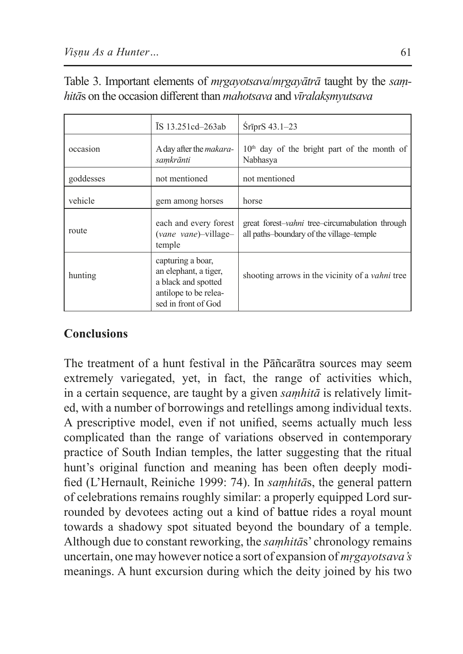|           | IS 13.251cd-263ab                                                                                                 | SrīprS 43.1-23                                                                              |  |  |
|-----------|-------------------------------------------------------------------------------------------------------------------|---------------------------------------------------------------------------------------------|--|--|
| occasion  | A day after the <i>makara</i> -<br>samkrānti                                                                      | $10th$ day of the bright part of the month of<br>Nabhasya                                   |  |  |
| goddesses | not mentioned                                                                                                     | not mentioned                                                                               |  |  |
| vehicle   | gem among horses                                                                                                  | horse                                                                                       |  |  |
| route     | each and every forest<br>(vane vane)-village-<br>temple                                                           | great forest-vahni tree-circumabulation through<br>all paths-boundary of the village-temple |  |  |
| hunting   | capturing a boar,<br>an elephant, a tiger,<br>a black and spotted<br>antilope to be relea-<br>sed in front of God | shooting arrows in the vicinity of a <i>vahni</i> tree                                      |  |  |

| Table 3. Important elements of <i>mrgayotsava/mrgayātrā</i> taught by the sam-    |  |  |  |  |  |
|-----------------------------------------------------------------------------------|--|--|--|--|--|
| hitās on the occasion different than <i>mahotsava</i> and <i>vīralakṣmyutsava</i> |  |  |  |  |  |

## **Conclusions**

The treatment of a hunt festival in the Pāñcarātra sources may seem extremely variegated, yet, in fact, the range of activities which, in a certain sequence, are taught by a given *saṃhitā* is relatively limited, with a number of borrowings and retellings among individual texts. A prescriptive model, even if not unified, seems actually much less complicated than the range of variations observed in contemporary practice of South Indian temples, the latter suggesting that the ritual hunt's original function and meaning has been often deeply modified (L'Hernault, Reiniche 1999: 74). In *saṃhitā*s, the general pattern of celebrations remains roughly similar: a properly equipped Lord surrounded by devotees acting out a kind of battue rides a royal mount towards a shadowy spot situated beyond the boundary of a temple. Although due to constant reworking, the *saṃhitā*s' chronology remains uncertain, one may however notice a sort of expansion of *mṛgayotsava's*  meanings. A hunt excursion during which the deity joined by his two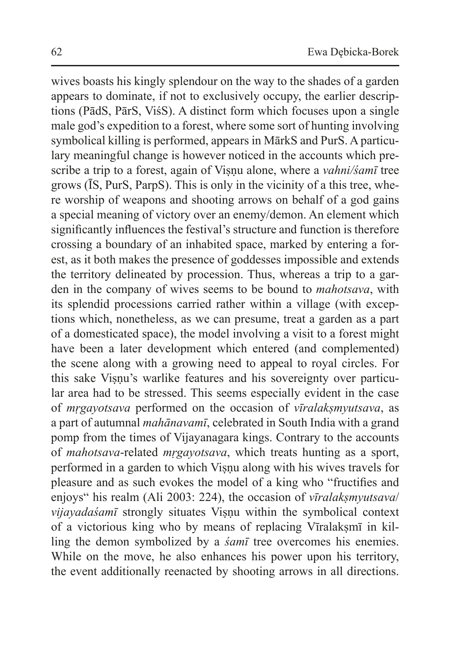wives boasts his kingly splendour on the way to the shades of a garden appears to dominate, if not to exclusively occupy, the earlier descriptions (PādS, PārS, ViśS). A distinct form which focuses upon a single male god's expedition to a forest, where some sort of hunting involving symbolical killing is performed, appears in MārkS and PurS. A particulary meaningful change is however noticed in the accounts which prescribe a trip to a forest, again of Visnu alone, where a *vahni/śamī* tree grows (ĪS, PurS, ParpS). This is only in the vicinity of a this tree, where worship of weapons and shooting arrows on behalf of a god gains a special meaning of victory over an enemy/demon. An element which significantly influences the festival's structure and function is therefore crossing a boundary of an inhabited space, marked by entering a forest, as it both makes the presence of goddesses impossible and extends the territory delineated by procession. Thus, whereas a trip to a garden in the company of wives seems to be bound to *mahotsava*, with its splendid processions carried rather within a village (with exceptions which, nonetheless, as we can presume, treat a garden as a part of a domesticated space), the model involving a visit to a forest might have been a later development which entered (and complemented) the scene along with a growing need to appeal to royal circles. For this sake Visnu's warlike features and his sovereignty over particular area had to be stressed. This seems especially evident in the case of *mṛgayotsava* performed on the occasion of *vīralakṣmyutsava*, as a part of autumnal *mahānavamī*, celebrated in South India with a grand pomp from the times of Vijayanagara kings. Contrary to the accounts of *mahotsava*-related *mṛgayotsava*, which treats hunting as a sport, performed in a garden to which Viṣṇu along with his wives travels for pleasure and as such evokes the model of a king who "fructifies and enjoys" his realm (Ali 2003: 224), the occasion of *vīralakṣmyutsava*/ *vijayadaśamī* strongly situates Viṣṇu within the symbolical context of a victorious king who by means of replacing Vīralaksmī in killing the demon symbolized by a *śamī* tree overcomes his enemies. While on the move, he also enhances his power upon his territory, the event additionally reenacted by shooting arrows in all directions.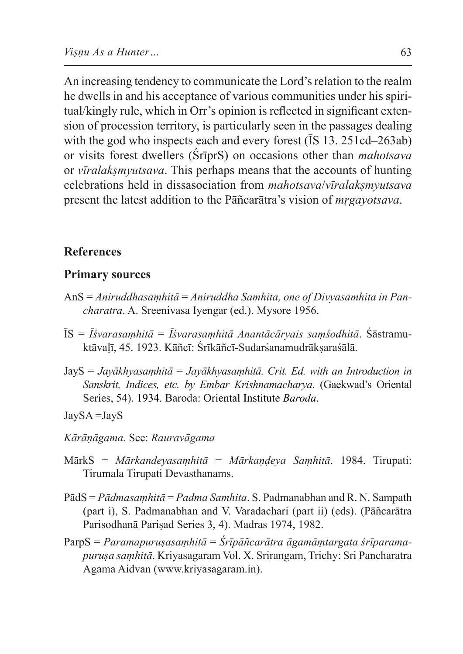An increasing tendency to communicate the Lord's relation to the realm he dwells in and his acceptance of various communities under his spiritual/kingly rule, which in Orr's opinion is reflected in significant extension of procession territory, is particularly seen in the passages dealing with the god who inspects each and every forest ( $\overline{I}S$  13. 251cd–263ab) or visits forest dwellers (ŚrīprS) on occasions other than *mahotsava* or *vīralakṣmyutsava*. This perhaps means that the accounts of hunting celebrations held in dissasociation from *mahotsava*/*vīralakṣmyutsava* present the latest addition to the Pāñcarātra's vision of *mṛgayotsava*.

#### **References**

#### **Primary sources**

- AnS = *Aniruddhasaṃhitā* = *Aniruddha Samhita, one of Divyasamhita in Pancharatra*. A. Sreenivasa Iyengar (ed.). Mysore 1956.
- ĪS = *Īśvarasaṃhitā* = *Īśvarasaṃhitā Anantācāryais saṃśodhitā*. Śāstramuktāvaḷī, 45. 1923. Kāñcī: Śrīkāñcī-Sudarśanamudrākṣaraśālā.
- JayS = *Jayākhyasaṃhitā* = *Jayākhyasaṃhitā. Crit. Ed. with an Introduction in Sanskrit, Indices, etc. by Embar Krishnamacharya*. (Gaekwad's Oriental Series, 54). 1934. Baroda: Oriental Institute *Baroda*.
- JaySA =JayS
- *Kārāṇāgama.* See: *Rauravāgama*
- MārkS = *Mārkandeyasaṃhitā* = *Mārkaṇḍeya Saṃhitā*. 1984. Tirupati: Tirumala Tirupati Devasthanams.
- PādS = *Pādmasaṃhitā* = *Padma Samhita*. S. Padmanabhan and R. N. Sampath (part i), S. Padmanabhan and V. Varadachari (part ii) (eds). (Pāñcarātra Parisodhanā Pariṣad Series 3, 4). Madras 1974, 1982.
- ParpS = *Paramapuruṣasaṃhitā* = *Śrīpāñcarātra āgamāṃtargata śrīparamapuruṣa saṃhitā*. Kriyasagaram Vol. X. Srirangam, Trichy: Sri Pancharatra Agama Aidvan (www.kriyasagaram.in).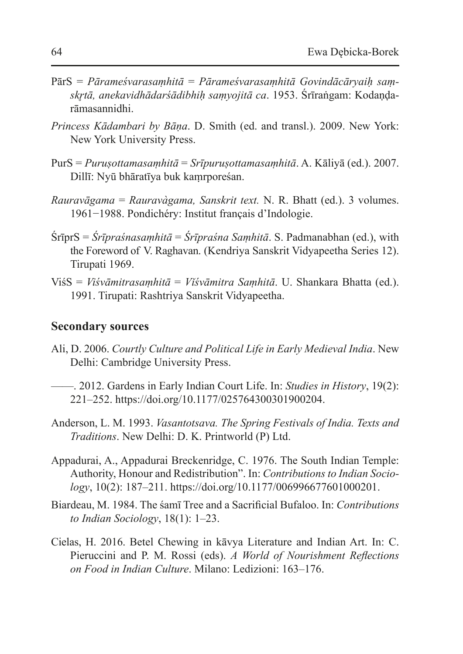- PārS = *Pārameśvarasaṃhitā* = *Pārameśvarasaṃhitā Govindācāryaiḥ saṃskr̥tā, anekavidhādarśādibhiḥ saṃyojitā ca*. 1953. Śrīraṅgam: Kodaṇḍarāmasannidhi.
- *Princess Kādambari by Bāṇa*. D. Smith (ed. and transl.). 2009. New York: New York University Press.
- PurS = *Puruṣottamasaṃhitā* = *Srīpuruṣottamasaṃhitā*. A. Kāliyā (ed.). 2007. Dillī: Nyū bhāratīya buk kaṃrporeśan.
- *Rauravāgama* = *Rauravàgama, Sanskrit text.* N. R. Bhatt (ed.). 3 volumes. 1961−1988. Pondichéry: Institut français d'Indologie.
- ŚrīprS = *Śrīpraśnasaṃhitā* = *Śrīpraśna Saṃhitā*. S. Padmanabhan (ed.), with the Foreword of V. Raghavan. (Kendriya Sanskrit Vidyapeetha Series 12). Tirupati 1969.
- ViśS = *Viśvāmitrasaṃhitā* = *Vǐśvāmitra Saṃhitā*. U. Shankara Bhatta (ed.). 1991. Tirupati: Rashtriya Sanskrit Vidyapeetha.

#### **Secondary sources**

- Ali, D. 2006. *Courtly Culture and Political Life in Early Medieval India*. New Delhi: Cambridge University Press.
- ——. 2012. Gardens in Early Indian Court Life. In: *Studies in History*, 19(2): 221–252. https://doi.org/10.1177/025764300301900204.
- Anderson, L. M. 1993. *Vasantotsava. The Spring Festivals of India. Texts and Traditions*. New Delhi: D. K. Printworld (P) Ltd.
- Appadurai, A., Appadurai Breckenridge, C. 1976. The South Indian Temple: Authority, Honour and Redistribution". In: *Contributions to Indian Sociology*, 10(2): 187–211. https://doi.org/10.1177/006996677601000201.
- Biardeau, M. 1984. The śamī Tree and a Sacrificial Bufaloo. In: *Contributions to Indian Sociology*, 18(1): 1–23.
- Cielas, H. 2016. Betel Chewing in kāvya Literature and Indian Art. In: C. Pieruccini and P. M. Rossi (eds). *A World of Nourishment Reflections on Food in Indian Culture*. Milano: Ledizioni: 163–176.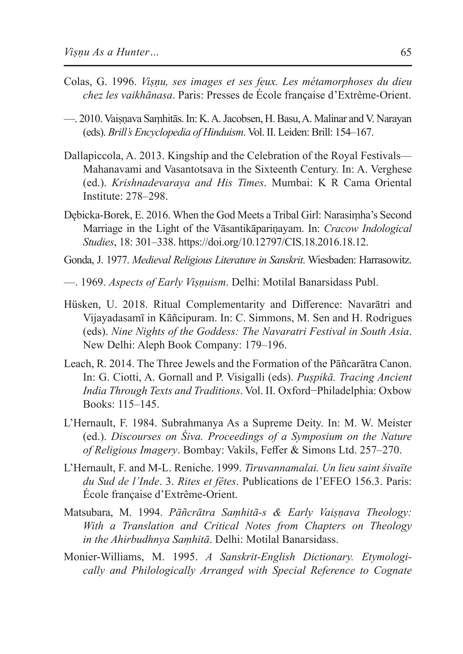- Colas, G. 1996. *Viṣṇu, ses images et ses feux. Les métamorphoses du dieu chez les vaikhānasa*. Paris: Presses de École française d'Extrême-Orient.
- —. 2010. Vaiṣṇava Saṃhitās. In: K. A. Jacobsen, H. Basu, A. Malinar and V. Narayan (eds). *Brill's Encyclopedia of Hinduism*. Vol. II. Leiden: Brill: 154–167.
- Dallapiccola, A. 2013. Kingship and the Celebration of the Royal Festivals— Mahanavami and Vasantotsava in the Sixteenth Century. In: A. Verghese (ed.). *Krishnadevaraya and His Times*. Mumbai: K R Cama Oriental Institute: 278–298.
- Dębicka-Borek, E. 2016. When the God Meets a Tribal Girl: Narasiṃha's Second Marriage in the Light of the Vāsantikāpariṇayam. In: *Cracow Indological Studies*, 18: 301–338. https://doi.org/10.12797/CIS.18.2016.18.12.
- Gonda, J. 1977. *Medieval Religious Literature in Sanskrit*. Wiesbaden: Harrasowitz.
- —. 1969. *Aspects of Early Viṣṇuism*. Delhi: Motilal Banarsidass Publ.
- Hüsken, U. 2018. Ritual Complementarity and Difference: Navarātri and Vijayadasamī in Kāñcipuram. In: C. Simmons, M. Sen and H. Rodrigues (eds). *Nine Nights of the Goddess: The Navaratri Festival in South Asia*. New Delhi: Aleph Book Company: 179–196.
- Leach, R. 2014. The Three Jewels and the Formation of the Pāñcarātra Canon. In: G. Ciotti, A. Gornall and P. Visigalli (eds). *Puṣpikā. Tracing Ancient India Through Texts and Traditions*. Vol. II. Oxford−Philadelphia: Oxbow Books: 115–145.
- L'Hernault, F. 1984. Subrahmanya As a Supreme Deity. In: M. W. Meister (ed.). *Discourses on Śiva. Proceedings of a Symposium on the Nature of Religious Imagery*. Bombay: Vakils, Feffer & Simons Ltd. 257–270.
- L'Hernault, F. and M-L. Reniche. 1999. *Tiruvannamalai. Un lieu saint śivaïte du Sud de l'Inde*. 3. *Rites et fêtes*. Publications de l'EFEO 156.3. Paris: École française d'Extrême-Orient.
- Matsubara, M. 1994. *Pāñcrātra Saṃhitā-s & Early Vaiṣṇava Theology: With a Translation and Critical Notes from Chapters on Theology in the Ahirbudhnya Saṃhitā*. Delhi: Motilal Banarsidass.
- Monier-Williams, M. 1995. *A Sanskrit-English Dictionary. Etymologically and Philologically Arranged with Special Reference to Cognate*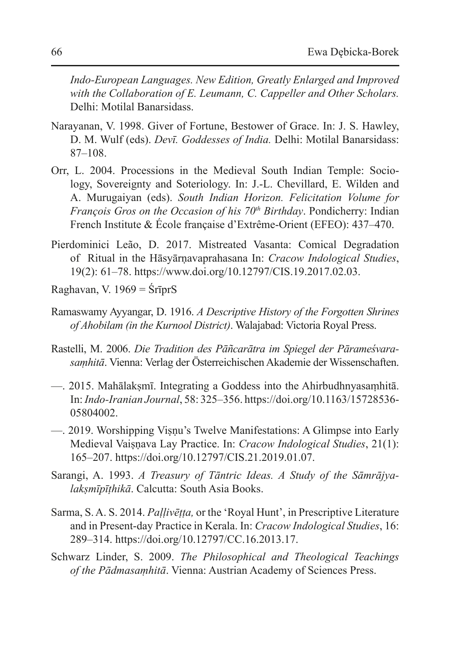*Indo-European Languages. New Edition, Greatly Enlarged and Improved with the Collaboration of E. Leumann, C. Cappeller and Other Scholars.* Delhi: Motilal Banarsidass.

- Narayanan, V. 1998. Giver of Fortune, Bestower of Grace. In: J. S. Hawley, D. M. Wulf (eds). *Devī. Goddesses of India.* Delhi: Motilal Banarsidass: 87–108.
- Orr, L. 2004. Processions in the Medieval South Indian Temple: Sociology, Sovereignty and Soteriology. In: J.-L. Chevillard, E. Wilden and A. Murugaiyan (eds). *South Indian Horizon. Felicitation Volume for François Gros on the Occasion of his 70th Birthday*. Pondicherry: Indian French Institute & École française d'Extrême-Orient (EFEO): 437–470.
- Pierdominici Leão, D. 2017. Mistreated Vasanta: Comical Degradation of Ritual in the Hāsyārṇavaprahasana In: *Cracow Indological Studies*, 19(2): 61–78. https://www.doi.org/10.12797/CIS.19.2017.02.03.
- Raghavan, V. 1969 = ŚrīprS
- Ramaswamy Ayyangar, D. 1916. *A Descriptive History of the Forgotten Shrines of Ahobilam (in the Kurnool District)*. Walajabad: Victoria Royal Press.
- Rastelli, M. 2006. *Die Tradition des Pāñcarātra im Spiegel der Pārameśvarasaṃhitā*. Vienna: Verlag der Österreichischen Akademie der Wissenschaften.
- —. 2015. Mahālakṣmī. Integrating a Goddess into the Ahirbudhnyasaṃhitā. In: *Indo-Iranian Journal*, 58: 325–356. https://doi.org/10.1163/15728536-05804002.
- —. 2019. Worshipping Viṣṇu's Twelve Manifestations: A Glimpse into Early Medieval Vaiṣṇava Lay Practice. In: *Cracow Indological Studies*, 21(1): 165–207. https://doi.org/10.12797/CIS.21.2019.01.07.
- Sarangi, A. 1993. *A Treasury of Tāntric Ideas. A Study of the Sāmrājyalakṣmīpīṭhikā*. Calcutta: South Asia Books.
- Sarma, S. A. S. 2014. *Paḷḷivēṭṭa,* or the 'Royal Hunt', in Prescriptive Literature and in Present-day Practice in Kerala. In: *Cracow Indological Studies*, 16: 289–314. https://doi.org/10.12797/CC.16.2013.17.
- Schwarz Linder, S. 2009. *The Philosophical and Theological Teachings of the Pādmasaṃhitā*. Vienna: Austrian Academy of Sciences Press.